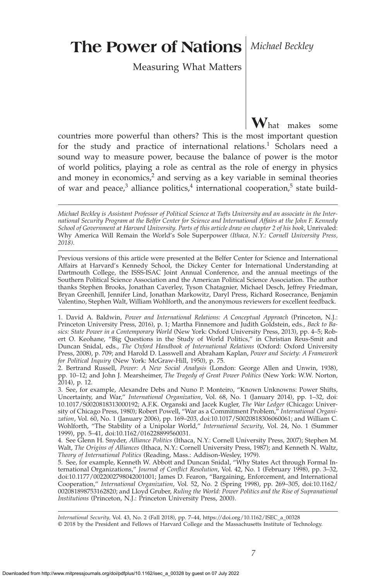# **The Power of Nations** *Michael Beckley*

Measuring What Matters

**W**hat makes some countries more powerful than others? This is the most important question for the study and practice of international relations.<sup>1</sup> Scholars need a sound way to measure power, because the balance of power is the motor of world politics, playing a role as central as the role of energy in physics and money in economics, $2$  and serving as a key variable in seminal theories of war and peace,<sup>3</sup> alliance politics,<sup>4</sup> international cooperation,<sup>5</sup> state build-

*Michael Beckley is Assistant Professor of Political Science at Tufts University and an associate in the International Security Program at the Belfer Center for Science and International Affairs at the John F. Kennedy School of Government at Harvard University. Parts of this article draw on chapter 2 of his book*, Unrivaled: Why America Will Remain the World's Sole Superpower *(Ithaca, N.Y.: Cornell University Press, 2018)*.

Previous versions of this article were presented at the Belfer Center for Science and International Affairs at Harvard's Kennedy School, the Dickey Center for International Understanding at Dartmouth College, the ISSS-ISAC Joint Annual Conference, and the annual meetings of the Southern Political Science Association and the American Political Science Association. The author thanks Stephen Brooks, Jonathan Caverley, Tyson Chatagnier, Michael Desch, Jeffrey Friedman, Bryan Greenhill, Jennifer Lind, Jonathan Markowitz, Daryl Press, Richard Rosecrance, Benjamin Valentino, Stephen Walt, William Wohlforth, and the anonymous reviewers for excellent feedback.

1. David A. Baldwin, *Power and International Relations: A Conceptual Approach* (Princeton, N.J.: Princeton University Press, 2016), p. 1; Martha Finnemore and Judith Goldstein, eds., *Back to Basics: State Power in a Contemporary World* (New York: Oxford University Press, 2013), pp. 4–5; Robert O. Keohane, "Big Questions in the Study of World Politics," in Christian Reus-Smit and Duncan Snidal, eds., *The Oxford Handbook of International Relations* (Oxford: Oxford University Press, 2008), p. 709; and Harold D. Lasswell and Abraham Kaplan, *Power and Society: A Framework for Political Inquiry* (New York: McGraw-Hill, 1950), p. 75.

2. Bertrand Russell, *Power: A New Social Analysis* (London: George Allen and Unwin, 1938), pp. 10–12; and John J. Mearsheimer, *The Tragedy of Great Power Politics* (New York: W.W. Norton, 2014), p. 12.

3. See, for example, Alexandre Debs and Nuno P. Monteiro, "Known Unknowns: Power Shifts, Uncertainty, and War," *International Organization*, Vol. 68, No. 1 (January 2014), pp. 1–32, doi: 10.1017/S0020818313000192; A.F.K. Organski and Jacek Kugler, *The War Ledger* (Chicago: University of Chicago Press, 1980); Robert Powell, "War as a Commitment Problem," *International Organization*, Vol. 60, No. 1 (January 2006), pp. 169–203, doi:10.1017/S0020818306060061; and William C. Wohlforth, "The Stability of a Unipolar World," *International Security*, Vol. 24, No. 1 (Summer 1999), pp. 5–41, doi:10.1162/016228899560031.

4. See Glenn H. Snyder, *Alliance Politics* (Ithaca, N.Y.: Cornell University Press, 2007); Stephen M. Walt, *The Origins of Alliances* (Ithaca, N.Y.: Cornell University Press, 1987); and Kenneth N. Waltz, *Theory of International Politics* (Reading, Mass.: Addison-Wesley, 1979).

5. See, for example, Kenneth W. Abbott and Duncan Snidal, "Why States Act through Formal International Organizations," *Journal of Conflict Resolution*, Vol. 42, No. 1 (February 1998), pp. 3-32, doi:10.1177/0022002798042001001; James D. Fearon, "Bargaining, Enforcement, and International Cooperation," *International Organization*, Vol. 52, No. 2 (Spring 1998), pp. 269–305, doi:10.1162/ 002081898753162820; and Lloyd Gruber, *Ruling the World: Power Politics and the Rise of Supranational Institutions* (Princeton, N.J.: Princeton University Press, 2000).

*International Security,* Vol. 43, No. 2 (Fall 2018), pp. 7–44, https://doi.org/10.1162/ISEC\_a\_00328 © 2018 by the President and Fellows of Harvard College and the Massachusetts Institute of Technology.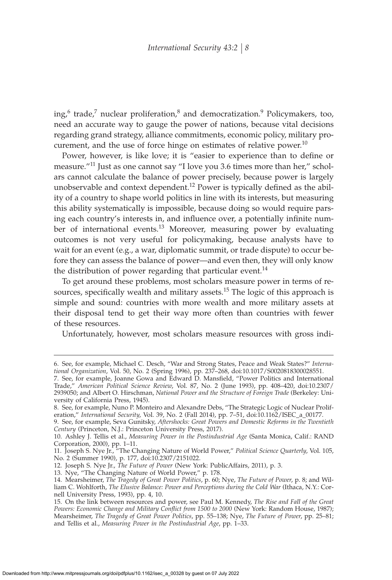ing, $^6$  trade, $^7$  nuclear proliferation, $^8$  and democratization. $^9$  Policymakers, too, need an accurate way to gauge the power of nations, because vital decisions regarding grand strategy, alliance commitments, economic policy, military procurement, and the use of force hinge on estimates of relative power.<sup>10</sup>

Power, however, is like love; it is "easier to experience than to define or measure."<sup>11</sup> Just as one cannot say "I love you 3.6 times more than her," scholars cannot calculate the balance of power precisely, because power is largely unobservable and context dependent.<sup>12</sup> Power is typically defined as the ability of a country to shape world politics in line with its interests, but measuring this ability systematically is impossible, because doing so would require parsing each country's interests in, and influence over, a potentially infinite number of international events.<sup>13</sup> Moreover, measuring power by evaluating outcomes is not very useful for policymaking, because analysts have to wait for an event (e.g., a war, diplomatic summit, or trade dispute) to occur before they can assess the balance of power—and even then, they will only know the distribution of power regarding that particular event.<sup>14</sup>

To get around these problems, most scholars measure power in terms of resources, specifically wealth and military assets.<sup>15</sup> The logic of this approach is simple and sound: countries with more wealth and more military assets at their disposal tend to get their way more often than countries with fewer of these resources.

Unfortunately, however, most scholars measure resources with gross indi-

<sup>6.</sup> See, for example, Michael C. Desch, "War and Strong States, Peace and Weak States?" *International Organization*, Vol. 50, No. 2 (Spring 1996), pp. 237–268, doi:10.1017/S0020818300028551.

<sup>7.</sup> See, for example, Joanne Gowa and Edward D. Mansfield, "Power Politics and International Trade," *American Political Science Review*, Vol. 87, No. 2 (June 1993), pp. 408–420, doi:10.2307/ 2939050; and Albert O. Hirschman, *National Power and the Structure of Foreign Trade* (Berkeley: University of California Press, 1945).

<sup>8.</sup> See, for example, Nuno P. Monteiro and Alexandre Debs, "The Strategic Logic of Nuclear Proliferation," *International Security*, Vol. 39, No. 2 (Fall 2014), pp. 7–51, doi:10.1162/ISEC\_a\_00177.

<sup>9.</sup> See, for example, Seva Gunitsky, *Aftershocks: Great Powers and Domestic Reforms in the Twentieth Century* (Princeton, N.J.: Princeton University Press, 2017).

<sup>10.</sup> Ashley J. Tellis et al., *Measuring Power in the Postindustrial Age* (Santa Monica, Calif.: RAND Corporation, 2000), pp. 1–11.

<sup>11.</sup> Joseph S. Nye Jr., "The Changing Nature of World Power," *Political Science Quarterly*, Vol. 105, No. 2 (Summer 1990), p. 177, doi:10.2307/2151022.

<sup>12.</sup> Joseph S. Nye Jr., *The Future of Power* (New York: PublicAffairs, 2011), p. 3.

<sup>13.</sup> Nye, "The Changing Nature of World Power," p. 178.

<sup>14.</sup> Mearsheimer, *The Tragedy of Great Power Politics*, p. 60; Nye, *The Future of Power*, p. 8; and William C. Wohlforth, *The Elusive Balance: Power and Perceptions during the Cold War* (Ithaca, N.Y.: Cornell University Press, 1993), pp. 4, 10.

<sup>15.</sup> On the link between resources and power, see Paul M. Kennedy, *The Rise and Fall of the Great* Powers: Economic Change and Military Conflict from 1500 to 2000 (New York: Random House, 1987); Mearsheimer, *The Tragedy of Great Power Politics*, pp. 55–138; Nye, *The Future of Power*, pp. 25–81; and Tellis et al., *Measuring Power in the Postindustrial Age*, pp. 1–33.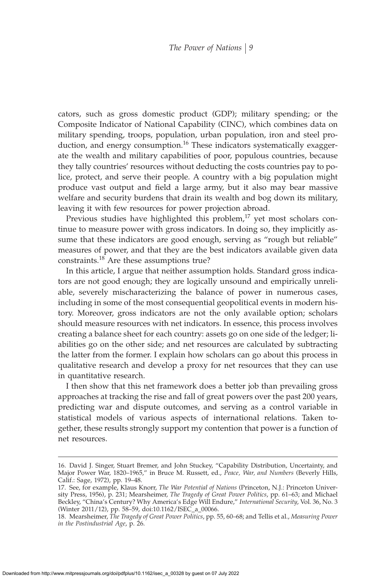cators, such as gross domestic product (GDP); military spending; or the Composite Indicator of National Capability (CINC), which combines data on military spending, troops, population, urban population, iron and steel production, and energy consumption.<sup>16</sup> These indicators systematically exaggerate the wealth and military capabilities of poor, populous countries, because they tally countries' resources without deducting the costs countries pay to police, protect, and serve their people. A country with a big population might produce vast output and field a large army, but it also may bear massive welfare and security burdens that drain its wealth and bog down its military, leaving it with few resources for power projection abroad.

Previous studies have highlighted this problem, $17$  yet most scholars continue to measure power with gross indicators. In doing so, they implicitly assume that these indicators are good enough, serving as "rough but reliable" measures of power, and that they are the best indicators available given data constraints.<sup>18</sup> Are these assumptions true?

In this article, I argue that neither assumption holds. Standard gross indicators are not good enough; they are logically unsound and empirically unreliable, severely mischaracterizing the balance of power in numerous cases, including in some of the most consequential geopolitical events in modern history. Moreover, gross indicators are not the only available option; scholars should measure resources with net indicators. In essence, this process involves creating a balance sheet for each country: assets go on one side of the ledger; liabilities go on the other side; and net resources are calculated by subtracting the latter from the former. I explain how scholars can go about this process in qualitative research and develop a proxy for net resources that they can use in quantitative research.

I then show that this net framework does a better job than prevailing gross approaches at tracking the rise and fall of great powers over the past 200 years, predicting war and dispute outcomes, and serving as a control variable in statistical models of various aspects of international relations. Taken together, these results strongly support my contention that power is a function of net resources.

<sup>16.</sup> David J. Singer, Stuart Bremer, and John Stuckey, "Capability Distribution, Uncertainty, and Major Power War, 1820–1965," in Bruce M. Russett, ed., *Peace, War, and Numbers* (Beverly Hills, Calif.: Sage, 1972), pp. 19–48.

<sup>17.</sup> See, for example, Klaus Knorr, *The War Potential of Nations* (Princeton, N.J.: Princeton University Press, 1956), p. 231; Mearsheimer, *The Tragedy of Great Power Politics*, pp. 61–63; and Michael Beckley, "China's Century? Why America's Edge Will Endure," *International Security*, Vol. 36, No. 3 (Winter 2011/12), pp. 58–59, doi:10.1162/ISEC\_a\_00066.

<sup>18.</sup> Mearsheimer, *The Tragedy of Great Power Politics*, pp. 55, 60–68; and Tellis et al., *Measuring Power in the Postindustrial Age*, p. 26.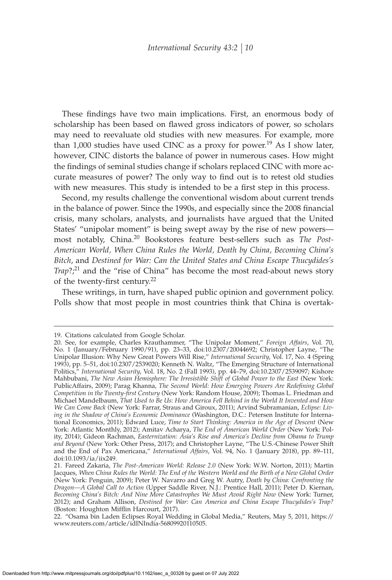These findings have two main implications. First, an enormous body of scholarship has been based on flawed gross indicators of power, so scholars may need to reevaluate old studies with new measures. For example, more than 1,000 studies have used CINC as a proxy for power.<sup>19</sup> As I show later, however, CINC distorts the balance of power in numerous cases. How might the findings of seminal studies change if scholars replaced CINC with more accurate measures of power? The only way to find out is to retest old studies with new measures. This study is intended to be a first step in this process.

Second, my results challenge the conventional wisdom about current trends in the balance of power. Since the 1990s, and especially since the 2008 financial crisis, many scholars, analysts, and journalists have argued that the United States' "unipolar moment" is being swept away by the rise of new powers most notably, China.<sup>20</sup> Bookstores feature best-sellers such as *The Post-American World, When China Rules the World, Death by China, Becoming China's Bitch*, and *Destined for War: Can the United States and China Escape Thucydides's Trap*?;<sup>21</sup> and the "rise of China" has become the most read-about news story of the twenty-first century. $22$ 

These writings, in turn, have shaped public opinion and government policy. Polls show that most people in most countries think that China is overtak-

<sup>19.</sup> Citations calculated from Google Scholar.

<sup>20.</sup> See, for example, Charles Krauthammer, "The Unipolar Moment," *Foreign Affairs*, Vol. 70, No. 1 (January/February 1990/91), pp. 23–33, doi:10.2307/20044692; Christopher Layne, "The Unipolar Illusion: Why New Great Powers Will Rise," *International Security*, Vol. 17, No. 4 (Spring 1993), pp. 5–51, doi:10.2307/2539020; Kenneth N. Waltz, "The Emerging Structure of International Politics," *International Security*, Vol. 18, No. 2 (Fall 1993), pp. 44–79, doi:10.2307/2539097; Kishore Mahbubani, *The New Asian Hemisphere: The Irresistible Shift of Global Power to the East* (New York: PublicAffairs, 2009); Parag Khanna, *The Second World: How Emerging Powers Are Redefining Global* Competition in the Twenty-first Century (New York: Random House, 2009); Thomas L. Friedman and Michael Mandelbaum, *That Used to Be Us: How America Fell Behind in the World It Invented and How We Can Come Back* (New York: Farrar, Straus and Giroux, 2011); Arvind Subramanian, *Eclipse: Living in the Shadow of China's Economic Dominance* (Washington, D.C.: Petersen Institute for International Economics, 2011); Edward Luce, *Time to Start Thinking: America in the Age of Descent* (New York: Atlantic Monthly, 2012); Amitav Acharya, *The End of American World Order* (New York: Polity, 2014); Gideon Rachman, *Easternization: Asia's Rise and America's Decline from Obama to Trump and Beyond* (New York: Other Press, 2017); and Christopher Layne, "The U.S.-Chinese Power Shift and the End of Pax Americana," *International Affairs*, Vol. 94, No. 1 (January 2018), pp. 89–111, doi:10.1093/ia/iix249.

<sup>21.</sup> Fareed Zakaria, *The Post-American World: Release 2.0* (New York: W.W. Norton, 2011); Martin Jacques, *When China Rules the World: The End of the Western World and the Birth of a New Global Order* (New York: Penguin, 2009); Peter W. Navarro and Greg W. Autry, *Death by China: Confronting the Dragon—A Global Call to Action* (Upper Saddle River, N.J.: Prentice Hall, 2011); Peter D. Kiernan, *Becoming China's Bitch: And Nine More Catastrophes We Must Avoid Right Now* (New York: Turner, 2012); and Graham Allison, *Destined for War: Can America and China Escape Thucydides's Trap?* (Boston: Houghton Mifflin Harcourt, 2017).

<sup>22. &</sup>quot;Osama bin Laden Eclipses Royal Wedding in Global Media," Reuters, May 5, 2011, https:// www.reuters.com/article/idINIndia-56809920110505.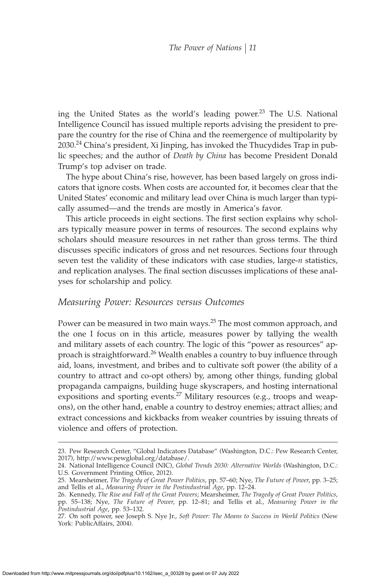ing the United States as the world's leading power.<sup>23</sup> The U.S. National Intelligence Council has issued multiple reports advising the president to prepare the country for the rise of China and the reemergence of multipolarity by 2030.<sup>24</sup> China's president, Xi Jinping, has invoked the Thucydides Trap in public speeches; and the author of *Death by China* has become President Donald Trump's top adviser on trade.

The hype about China's rise, however, has been based largely on gross indicators that ignore costs. When costs are accounted for, it becomes clear that the United States' economic and military lead over China is much larger than typically assumed—and the trends are mostly in America's favor.

This article proceeds in eight sections. The first section explains why scholars typically measure power in terms of resources. The second explains why scholars should measure resources in net rather than gross terms. The third discusses specific indicators of gross and net resources. Sections four through seven test the validity of these indicators with case studies, large-*n* statistics, and replication analyses. The final section discusses implications of these analyses for scholarship and policy.

## *Measuring Power: Resources versus Outcomes*

Power can be measured in two main ways.<sup>25</sup> The most common approach, and the one I focus on in this article, measures power by tallying the wealth and military assets of each country. The logic of this "power as resources" approach is straightforward.<sup>26</sup> Wealth enables a country to buy influence through aid, loans, investment, and bribes and to cultivate soft power (the ability of a country to attract and co-opt others) by, among other things, funding global propaganda campaigns, building huge skyscrapers, and hosting international expositions and sporting events.<sup>27</sup> Military resources (e.g., troops and weapons), on the other hand, enable a country to destroy enemies; attract allies; and extract concessions and kickbacks from weaker countries by issuing threats of violence and offers of protection.

<sup>23.</sup> Pew Research Center, "Global Indicators Database" (Washington, D.C.: Pew Research Center, 2017), http://www.pewglobal.org/database/.

<sup>24.</sup> National Intelligence Council (NIC), *Global Trends 2030: Alternative Worlds* (Washington, D.C.: U.S. Government Printing Office, 2012).

<sup>25.</sup> Mearsheimer, *The Tragedy of Great Power Politics*, pp. 57–60; Nye, *The Future of Power*, pp. 3–25; and Tellis et al., *Measuring Power in the Postindustrial Age*, pp. 12–24.

<sup>26.</sup> Kennedy, *The Rise and Fall of the Great Powers*; Mearsheimer, *The Tragedy of Great Power Politics*, pp. 55–138; Nye, *The Future of Power*, pp. 12–81; and Tellis et al., *Measuring Power in the Postindustrial Age*, pp. 53–132.

<sup>27.</sup> On soft power, see Joseph S. Nye Jr., *Soft Power: The Means to Success in World Politics* (New York: PublicAffairs, 2004).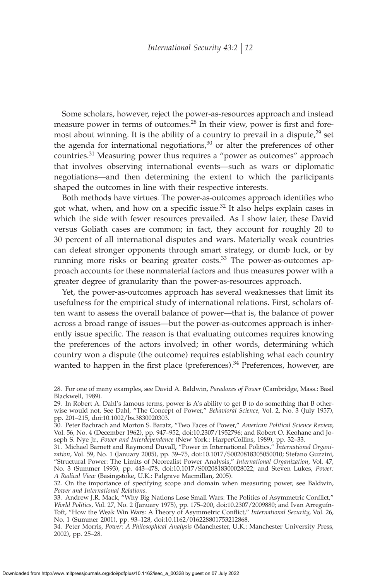Some scholars, however, reject the power-as-resources approach and instead measure power in terms of outcomes.<sup>28</sup> In their view, power is first and foremost about winning. It is the ability of a country to prevail in a dispute, $29$  set the agenda for international negotiations, $30$  or alter the preferences of other countries.<sup>31</sup> Measuring power thus requires a "power as outcomes" approach that involves observing international events—such as wars or diplomatic negotiations—and then determining the extent to which the participants shaped the outcomes in line with their respective interests.

Both methods have virtues. The power-as-outcomes approach identifies who got what, when, and how on a specific issue. $32$  It also helps explain cases in which the side with fewer resources prevailed. As I show later, these David versus Goliath cases are common; in fact, they account for roughly 20 to 30 percent of all international disputes and wars. Materially weak countries can defeat stronger opponents through smart strategy, or dumb luck, or by running more risks or bearing greater costs. $33$  The power-as-outcomes approach accounts for these nonmaterial factors and thus measures power with a greater degree of granularity than the power-as-resources approach.

Yet, the power-as-outcomes approach has several weaknesses that limit its usefulness for the empirical study of international relations. First, scholars often want to assess the overall balance of power—that is, the balance of power across a broad range of issues—but the power-as-outcomes approach is inherently issue specific. The reason is that evaluating outcomes requires knowing the preferences of the actors involved; in other words, determining which country won a dispute (the outcome) requires establishing what each country wanted to happen in the first place (preferences).<sup>34</sup> Preferences, however, are

<sup>28.</sup> For one of many examples, see David A. Baldwin, *Paradoxes of Power* (Cambridge, Mass.: Basil Blackwell, 1989).

<sup>29.</sup> In Robert A. Dahl's famous terms, power is A's ability to get B to do something that B otherwise would not. See Dahl, "The Concept of Power," *Behavioral Science*, Vol. 2, No. 3 (July 1957), pp. 201–215, doi:10.1002/bs.3830020303.

<sup>30.</sup> Peter Bachrach and Morton S. Baratz, "Two Faces of Power," *American Political Science Review*, Vol. 56, No. 4 (December 1962), pp. 947–952, doi:10.2307/1952796; and Robert O. Keohane and Joseph S. Nye Jr., *Power and Interdependence* (New York.: HarperCollins, 1989), pp. 32–33.

<sup>31.</sup> Michael Barnett and Raymond Duvall, "Power in International Politics," *International Organization*, Vol. 59, No. 1 (January 2005), pp. 39–75, doi:10.1017/S0020818305050010; Stefano Guzzini, "Structural Power: The Limits of Neorealist Power Analysis," *International Organization*, Vol. 47, No. 3 (Summer 1993), pp. 443–478, doi:10.1017/S0020818300028022; and Steven Lukes, *Power: A Radical View* (Basingstoke, U.K.: Palgrave Macmillan, 2005).

<sup>32.</sup> On the importance of specifying scope and domain when measuring power, see Baldwin, *Power and International Relations*.

<sup>33.</sup> Andrew J.R. Mack, "Why Big Nations Lose Small Wars: The Politics of Asymmetric Conflict," *World Politics*, Vol. 27, No. 2 (January 1975), pp. 175–200, doi:10.2307/2009880; and Ivan Arreguín-Toft, "How the Weak Win Wars: A Theory of Asymmetric Conflict," *International Security*, Vol. 26, No. 1 (Summer 2001), pp. 93–128, doi:10.1162/016228801753212868.

<sup>34.</sup> Peter Morris, *Power: A Philosophical Analysis* (Manchester, U.K.: Manchester University Press, 2002), pp. 25–28.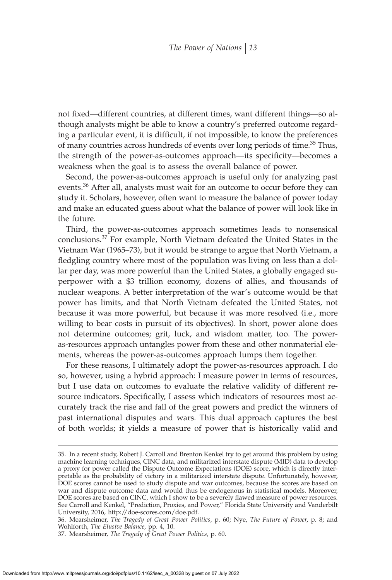not fixed—different countries, at different times, want different things—so although analysts might be able to know a country's preferred outcome regarding a particular event, it is difficult, if not impossible, to know the preferences of many countries across hundreds of events over long periods of time.<sup>35</sup> Thus, the strength of the power-as-outcomes approach—its specificity—becomes a weakness when the goal is to assess the overall balance of power.

Second, the power-as-outcomes approach is useful only for analyzing past events.<sup>36</sup> After all, analysts must wait for an outcome to occur before they can study it. Scholars, however, often want to measure the balance of power today and make an educated guess about what the balance of power will look like in the future.

Third, the power-as-outcomes approach sometimes leads to nonsensical conclusions.<sup>37</sup> For example, North Vietnam defeated the United States in the Vietnam War (1965–73), but it would be strange to argue that North Vietnam, a fledgling country where most of the population was living on less than a dollar per day, was more powerful than the United States, a globally engaged superpower with a \$3 trillion economy, dozens of allies, and thousands of nuclear weapons. A better interpretation of the war's outcome would be that power has limits, and that North Vietnam defeated the United States, not because it was more powerful, but because it was more resolved (i.e., more willing to bear costs in pursuit of its objectives). In short, power alone does not determine outcomes; grit, luck, and wisdom matter, too. The poweras-resources approach untangles power from these and other nonmaterial elements, whereas the power-as-outcomes approach lumps them together.

For these reasons, I ultimately adopt the power-as-resources approach. I do so, however, using a hybrid approach: I measure power in terms of resources, but I use data on outcomes to evaluate the relative validity of different resource indicators. Specifically, I assess which indicators of resources most accurately track the rise and fall of the great powers and predict the winners of past international disputes and wars. This dual approach captures the best of both worlds; it yields a measure of power that is historically valid and

<sup>35.</sup> In a recent study, Robert J. Carroll and Brenton Kenkel try to get around this problem by using machine learning techniques, CINC data, and militarized interstate dispute (MID) data to develop a proxy for power called the Dispute Outcome Expectations (DOE) score, which is directly interpretable as the probability of victory in a militarized interstate dispute. Unfortunately, however, DOE scores cannot be used to study dispute and war outcomes, because the scores are based on war and dispute outcome data and would thus be endogenous in statistical models. Moreover, DOE scores are based on CINC, which I show to be a severely flawed measure of power resources. See Carroll and Kenkel, "Prediction, Proxies, and Power," Florida State University and Vanderbilt University, 2016, http://doe-scores.com/doe.pdf.

<sup>36.</sup> Mearsheimer, *The Tragedy of Great Power Politics*, p. 60; Nye, *The Future of Power*, p. 8; and Wohlforth, *The Elusive Balance*, pp. 4, 10.

<sup>37.</sup> Mearsheimer, *The Tragedy of Great Power Politics*, p. 60.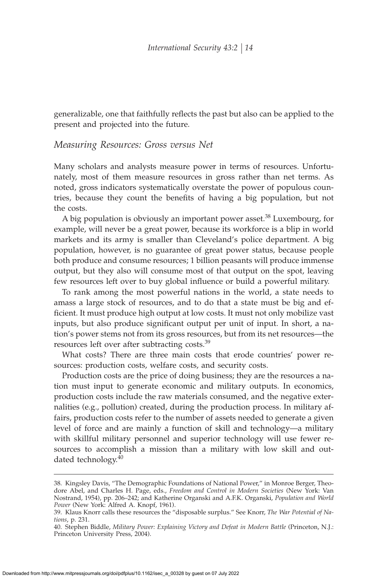generalizable, one that faithfully reflects the past but also can be applied to the present and projected into the future.

## *Measuring Resources: Gross versus Net*

Many scholars and analysts measure power in terms of resources. Unfortunately, most of them measure resources in gross rather than net terms. As noted, gross indicators systematically overstate the power of populous countries, because they count the benefits of having a big population, but not the costs.

A big population is obviously an important power asset.<sup>38</sup> Luxembourg, for example, will never be a great power, because its workforce is a blip in world markets and its army is smaller than Cleveland's police department. A big population, however, is no guarantee of great power status, because people both produce and consume resources; 1 billion peasants will produce immense output, but they also will consume most of that output on the spot, leaving few resources left over to buy global influence or build a powerful military.

To rank among the most powerful nations in the world, a state needs to amass a large stock of resources, and to do that a state must be big and efficient. It must produce high output at low costs. It must not only mobilize vast inputs, but also produce significant output per unit of input. In short, a nation's power stems not from its gross resources, but from its net resources—the resources left over after subtracting costs.<sup>39</sup>

What costs? There are three main costs that erode countries' power resources: production costs, welfare costs, and security costs.

Production costs are the price of doing business; they are the resources a nation must input to generate economic and military outputs. In economics, production costs include the raw materials consumed, and the negative externalities (e.g., pollution) created, during the production process. In military affairs, production costs refer to the number of assets needed to generate a given level of force and are mainly a function of skill and technology—a military with skillful military personnel and superior technology will use fewer resources to accomplish a mission than a military with low skill and outdated technology.<sup>40</sup>

<sup>38.</sup> Kingsley Davis, "The Demographic Foundations of National Power," in Monroe Berger, Theodore Abel, and Charles H. Page, eds., *Freedom and Control in Modern Societies* (New York: Van Nostrand, 1954), pp. 206–242; and Katherine Organski and A.F.K. Organski, *Population and World Power* (New York: Alfred A. Knopf, 1961).

<sup>39.</sup> Klaus Knorr calls these resources the "disposable surplus." See Knorr, *The War Potential of Nations*, p. 231.

<sup>40.</sup> Stephen Biddle, *Military Power: Explaining Victory and Defeat in Modern Battle* (Princeton, N.J.: Princeton University Press, 2004).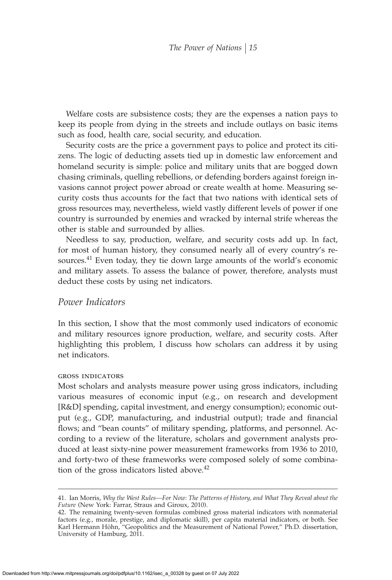Welfare costs are subsistence costs; they are the expenses a nation pays to keep its people from dying in the streets and include outlays on basic items such as food, health care, social security, and education.

Security costs are the price a government pays to police and protect its citizens. The logic of deducting assets tied up in domestic law enforcement and homeland security is simple: police and military units that are bogged down chasing criminals, quelling rebellions, or defending borders against foreign invasions cannot project power abroad or create wealth at home. Measuring security costs thus accounts for the fact that two nations with identical sets of gross resources may, nevertheless, wield vastly different levels of power if one country is surrounded by enemies and wracked by internal strife whereas the other is stable and surrounded by allies.

Needless to say, production, welfare, and security costs add up. In fact, for most of human history, they consumed nearly all of every country's resources.<sup>41</sup> Even today, they tie down large amounts of the world's economic and military assets. To assess the balance of power, therefore, analysts must deduct these costs by using net indicators.

# *Power Indicators*

In this section, I show that the most commonly used indicators of economic and military resources ignore production, welfare, and security costs. After highlighting this problem, I discuss how scholars can address it by using net indicators.

## gross indicators

Most scholars and analysts measure power using gross indicators, including various measures of economic input (e.g., on research and development [R&D] spending, capital investment, and energy consumption); economic output (e.g., GDP, manufacturing, and industrial output); trade and financial flows; and "bean counts" of military spending, platforms, and personnel. According to a review of the literature, scholars and government analysts produced at least sixty-nine power measurement frameworks from 1936 to 2010, and forty-two of these frameworks were composed solely of some combination of the gross indicators listed above. $42$ 

<sup>41.</sup> Ian Morris, *Why the West Rules—For Now: The Patterns of History, and What They Reveal about the Future* (New York: Farrar, Straus and Giroux, 2010).

<sup>42.</sup> The remaining twenty-seven formulas combined gross material indicators with nonmaterial factors (e.g., morale, prestige, and diplomatic skill), per capita material indicators, or both. See Karl Hermann Höhn, "Geopolitics and the Measurement of National Power," Ph.D. dissertation, University of Hamburg, 2011.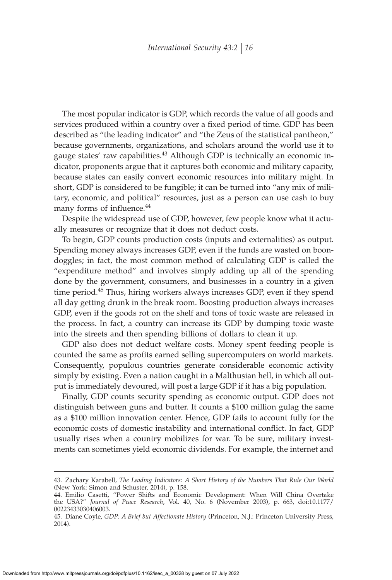The most popular indicator is GDP, which records the value of all goods and services produced within a country over a fixed period of time. GDP has been described as "the leading indicator" and "the Zeus of the statistical pantheon," because governments, organizations, and scholars around the world use it to gauge states' raw capabilities.<sup>43</sup> Although GDP is technically an economic indicator, proponents argue that it captures both economic and military capacity, because states can easily convert economic resources into military might. In short, GDP is considered to be fungible; it can be turned into "any mix of military, economic, and political" resources, just as a person can use cash to buy many forms of influence.<sup>44</sup>

Despite the widespread use of GDP, however, few people know what it actually measures or recognize that it does not deduct costs.

To begin, GDP counts production costs (inputs and externalities) as output. Spending money always increases GDP, even if the funds are wasted on boondoggles; in fact, the most common method of calculating GDP is called the "expenditure method" and involves simply adding up all of the spending done by the government, consumers, and businesses in a country in a given time period.<sup>45</sup> Thus, hiring workers always increases GDP, even if they spend all day getting drunk in the break room. Boosting production always increases GDP, even if the goods rot on the shelf and tons of toxic waste are released in the process. In fact, a country can increase its GDP by dumping toxic waste into the streets and then spending billions of dollars to clean it up.

GDP also does not deduct welfare costs. Money spent feeding people is counted the same as profits earned selling supercomputers on world markets. Consequently, populous countries generate considerable economic activity simply by existing. Even a nation caught in a Malthusian hell, in which all output is immediately devoured, will post a large GDP if it has a big population.

Finally, GDP counts security spending as economic output. GDP does not distinguish between guns and butter. It counts a \$100 million gulag the same as a \$100 million innovation center. Hence, GDP fails to account fully for the economic costs of domestic instability and international conflict. In fact, GDP usually rises when a country mobilizes for war. To be sure, military investments can sometimes yield economic dividends. For example, the internet and

<sup>43.</sup> Zachary Karabell, *The Leading Indicators: A Short History of the Numbers That Rule Our World* (New York: Simon and Schuster, 2014), p. 158.

<sup>44.</sup> Emilio Casetti, "Power Shifts and Economic Development: When Will China Overtake the USA?" *Journal of Peace Research*, Vol. 40, No. 6 (November 2003), p. 663, doi:10.1177/ 00223433030406003.

<sup>45.</sup> Diane Coyle, *GDP: A Brief but Affectionate History* (Princeton, N.J.: Princeton University Press, 2014).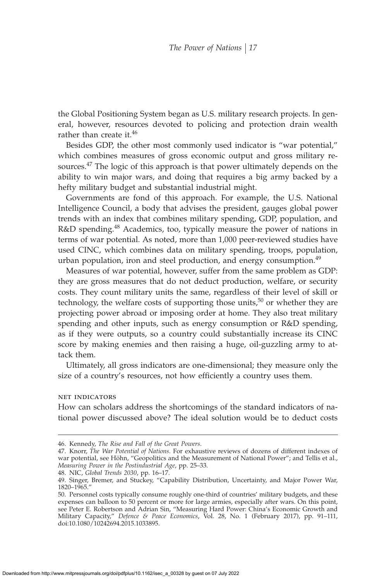the Global Positioning System began as U.S. military research projects. In general, however, resources devoted to policing and protection drain wealth rather than create it.<sup>46</sup>

Besides GDP, the other most commonly used indicator is "war potential," which combines measures of gross economic output and gross military resources.<sup>47</sup> The logic of this approach is that power ultimately depends on the ability to win major wars, and doing that requires a big army backed by a hefty military budget and substantial industrial might.

Governments are fond of this approach. For example, the U.S. National Intelligence Council, a body that advises the president, gauges global power trends with an index that combines military spending, GDP, population, and R&D spending.<sup>48</sup> Academics, too, typically measure the power of nations in terms of war potential. As noted, more than 1,000 peer-reviewed studies have used CINC, which combines data on military spending, troops, population, urban population, iron and steel production, and energy consumption.<sup>49</sup>

Measures of war potential, however, suffer from the same problem as GDP: they are gross measures that do not deduct production, welfare, or security costs. They count military units the same, regardless of their level of skill or technology, the welfare costs of supporting those units, $50$  or whether they are projecting power abroad or imposing order at home. They also treat military spending and other inputs, such as energy consumption or R&D spending, as if they were outputs, so a country could substantially increase its CINC score by making enemies and then raising a huge, oil-guzzling army to attack them.

Ultimately, all gross indicators are one-dimensional; they measure only the size of a country's resources, not how efficiently a country uses them.

net indicators

How can scholars address the shortcomings of the standard indicators of national power discussed above? The ideal solution would be to deduct costs

<sup>46.</sup> Kennedy, *The Rise and Fall of the Great Powers*.

<sup>47.</sup> Knorr, *The War Potential of Nations*. For exhaustive reviews of dozens of different indexes of war potential, see Höhn, "Geopolitics and the Measurement of National Power"; and Tellis et al., *Measuring Power in the Postindustrial Age*, pp. 25–33.

<sup>48.</sup> NIC, *Global Trends 2030*, pp. 16–17.

<sup>49.</sup> Singer, Bremer, and Stuckey, "Capability Distribution, Uncertainty, and Major Power War, 1820–1965."

<sup>50.</sup> Personnel costs typically consume roughly one-third of countries' military budgets, and these expenses can balloon to 50 percent or more for large armies, especially after wars. On this point, see Peter E. Robertson and Adrian Sin, "Measuring Hard Power: China's Economic Growth and Military Capacity," *Defence & Peace Economics*, Vol. 28, No. 1 (February 2017), pp. 91–111, doi:10.1080/10242694.2015.1033895.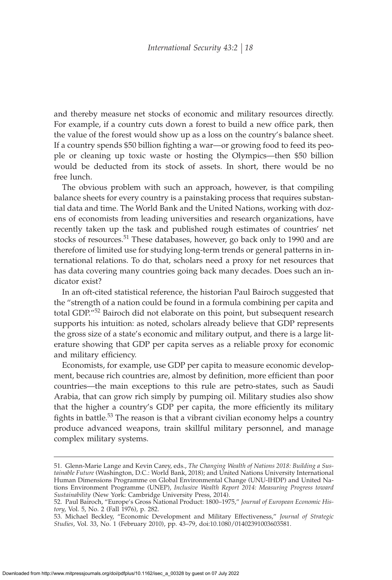and thereby measure net stocks of economic and military resources directly. For example, if a country cuts down a forest to build a new office park, then the value of the forest would show up as a loss on the country's balance sheet. If a country spends \$50 billion fighting a war—or growing food to feed its people or cleaning up toxic waste or hosting the Olympics—then \$50 billion would be deducted from its stock of assets. In short, there would be no free lunch.

The obvious problem with such an approach, however, is that compiling balance sheets for every country is a painstaking process that requires substantial data and time. The World Bank and the United Nations, working with dozens of economists from leading universities and research organizations, have recently taken up the task and published rough estimates of countries' net stocks of resources.<sup>51</sup> These databases, however, go back only to 1990 and are therefore of limited use for studying long-term trends or general patterns in international relations. To do that, scholars need a proxy for net resources that has data covering many countries going back many decades. Does such an indicator exist?

In an oft-cited statistical reference, the historian Paul Bairoch suggested that the "strength of a nation could be found in a formula combining per capita and total GDP."<sup>52</sup> Bairoch did not elaborate on this point, but subsequent research supports his intuition: as noted, scholars already believe that GDP represents the gross size of a state's economic and military output, and there is a large literature showing that GDP per capita serves as a reliable proxy for economic and military efficiency.

Economists, for example, use GDP per capita to measure economic development, because rich countries are, almost by definition, more efficient than poor countries—the main exceptions to this rule are petro-states, such as Saudi Arabia, that can grow rich simply by pumping oil. Military studies also show that the higher a country's GDP per capita, the more efficiently its military fights in battle.<sup>53</sup> The reason is that a vibrant civilian economy helps a country produce advanced weapons, train skillful military personnel, and manage complex military systems.

<sup>51.</sup> Glenn-Marie Lange and Kevin Carey, eds., *The Changing Wealth of Nations 2018: Building a Sustainable Future* (Washington, D.C.: World Bank, 2018); and United Nations University International Human Dimensions Programme on Global Environmental Change (UNU-IHDP) and United Nations Environment Programme (UNEP), *Inclusive Wealth Report 2014: Measuring Progress toward Sustainability* (New York: Cambridge University Press, 2014).

<sup>52.</sup> Paul Bairoch, "Europe's Gross National Product: 1800–1975," *Journal of European Economic History*, Vol. 5, No. 2 (Fall 1976), p. 282.

<sup>53.</sup> Michael Beckley, "Economic Development and Military Effectiveness," *Journal of Strategic Studies*, Vol. 33, No. 1 (February 2010), pp. 43–79, doi:10.1080/01402391003603581.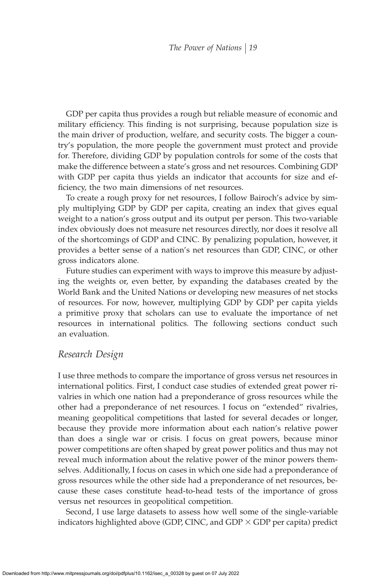GDP per capita thus provides a rough but reliable measure of economic and military efficiency. This finding is not surprising, because population size is the main driver of production, welfare, and security costs. The bigger a country's population, the more people the government must protect and provide for. Therefore, dividing GDP by population controls for some of the costs that make the difference between a state's gross and net resources. Combining GDP with GDP per capita thus yields an indicator that accounts for size and efficiency, the two main dimensions of net resources.

To create a rough proxy for net resources, I follow Bairoch's advice by simply multiplying GDP by GDP per capita, creating an index that gives equal weight to a nation's gross output and its output per person. This two-variable index obviously does not measure net resources directly, nor does it resolve all of the shortcomings of GDP and CINC. By penalizing population, however, it provides a better sense of a nation's net resources than GDP, CINC, or other gross indicators alone.

Future studies can experiment with ways to improve this measure by adjusting the weights or, even better, by expanding the databases created by the World Bank and the United Nations or developing new measures of net stocks of resources. For now, however, multiplying GDP by GDP per capita yields a primitive proxy that scholars can use to evaluate the importance of net resources in international politics. The following sections conduct such an evaluation.

## *Research Design*

I use three methods to compare the importance of gross versus net resources in international politics. First, I conduct case studies of extended great power rivalries in which one nation had a preponderance of gross resources while the other had a preponderance of net resources. I focus on "extended" rivalries, meaning geopolitical competitions that lasted for several decades or longer, because they provide more information about each nation's relative power than does a single war or crisis. I focus on great powers, because minor power competitions are often shaped by great power politics and thus may not reveal much information about the relative power of the minor powers themselves. Additionally, I focus on cases in which one side had a preponderance of gross resources while the other side had a preponderance of net resources, because these cases constitute head-to-head tests of the importance of gross versus net resources in geopolitical competition.

Second, I use large datasets to assess how well some of the single-variable indicators highlighted above (GDP, CINC, and GDP  $\times$  GDP per capita) predict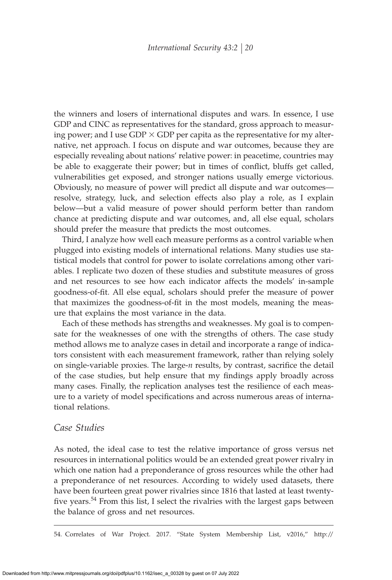the winners and losers of international disputes and wars. In essence, I use GDP and CINC as representatives for the standard, gross approach to measuring power; and I use GDP  $\times$  GDP per capita as the representative for my alternative, net approach. I focus on dispute and war outcomes, because they are especially revealing about nations' relative power: in peacetime, countries may be able to exaggerate their power; but in times of conflict, bluffs get called, vulnerabilities get exposed, and stronger nations usually emerge victorious. Obviously, no measure of power will predict all dispute and war outcomes resolve, strategy, luck, and selection effects also play a role, as I explain below—but a valid measure of power should perform better than random chance at predicting dispute and war outcomes, and, all else equal, scholars should prefer the measure that predicts the most outcomes.

Third, I analyze how well each measure performs as a control variable when plugged into existing models of international relations. Many studies use statistical models that control for power to isolate correlations among other variables. I replicate two dozen of these studies and substitute measures of gross and net resources to see how each indicator affects the models' in-sample goodness-of-fit. All else equal, scholars should prefer the measure of power that maximizes the goodness-of-fit in the most models, meaning the measure that explains the most variance in the data.

Each of these methods has strengths and weaknesses. My goal is to compensate for the weaknesses of one with the strengths of others. The case study method allows me to analyze cases in detail and incorporate a range of indicators consistent with each measurement framework, rather than relying solely on single-variable proxies. The large-n results, by contrast, sacrifice the detail of the case studies, but help ensure that my findings apply broadly across many cases. Finally, the replication analyses test the resilience of each measure to a variety of model specifications and across numerous areas of international relations.

# *Case Studies*

As noted, the ideal case to test the relative importance of gross versus net resources in international politics would be an extended great power rivalry in which one nation had a preponderance of gross resources while the other had a preponderance of net resources. According to widely used datasets, there have been fourteen great power rivalries since 1816 that lasted at least twentyfive years.<sup>54</sup> From this list, I select the rivalries with the largest gaps between the balance of gross and net resources.

54. Correlates of War Project. 2017. "State System Membership List, v2016," http://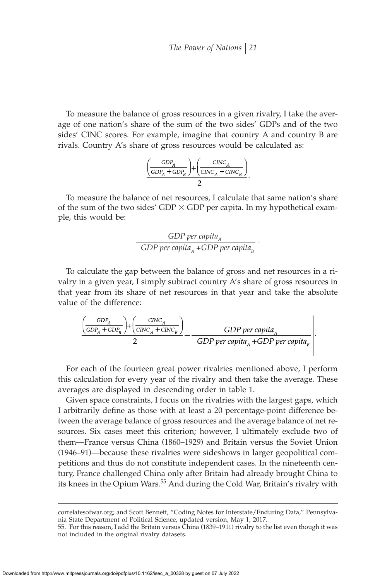To measure the balance of gross resources in a given rivalry, I take the average of one nation's share of the sum of the two sides' GDPs and of the two sides' CINC scores. For example, imagine that country A and country B are rivals. Country A's share of gross resources would be calculated as:

$$
\frac{\left(\frac{GDP_A}{GDP_A + GDP_B}\right) + \left(\frac{CINC_A}{CINC_A + CINC_B}\right)}{2}.
$$

To measure the balance of net resources, I calculate that same nation's share of the sum of the two sides' GDP  $\times$  GDP per capita. In my hypothetical example, this would be:

$$
\frac{\text{GDP per capita}_{A}}{\text{GDP per capita}_{A} + \text{GDP per capita}_{B}}.
$$

To calculate the gap between the balance of gross and net resources in a rivalry in a given year, I simply subtract country A's share of gross resources in that year from its share of net resources in that year and take the absolute value of the difference:

$$
\left| \frac{\left(\frac{GDP_A}{GDP_A + GDP_B}\right) + \left(\frac{CINC_A}{CINC_A + CINC_B}\right)}{2} - \frac{GDP \ per \ capita_A}{GDP \ per \ capita_A + GDP \ per \ capita_B} \right|.
$$

For each of the fourteen great power rivalries mentioned above, I perform this calculation for every year of the rivalry and then take the average. These averages are displayed in descending order in table 1.

Given space constraints, I focus on the rivalries with the largest gaps, which I arbitrarily define as those with at least a 20 percentage-point difference between the average balance of gross resources and the average balance of net resources. Six cases meet this criterion; however, I ultimately exclude two of them—France versus China (1860–1929) and Britain versus the Soviet Union (1946–91)—because these rivalries were sideshows in larger geopolitical competitions and thus do not constitute independent cases. In the nineteenth century, France challenged China only after Britain had already brought China to its knees in the Opium Wars.<sup>55</sup> And during the Cold War, Britain's rivalry with

correlatesofwar.org; and Scott Bennett, "Coding Notes for Interstate/Enduring Data," Pennsylvania State Department of Political Science, updated version, May 1, 2017. 55. For this reason, I add the Britain versus China (1839–1911) rivalry to the list even though it was

not included in the original rivalry datasets.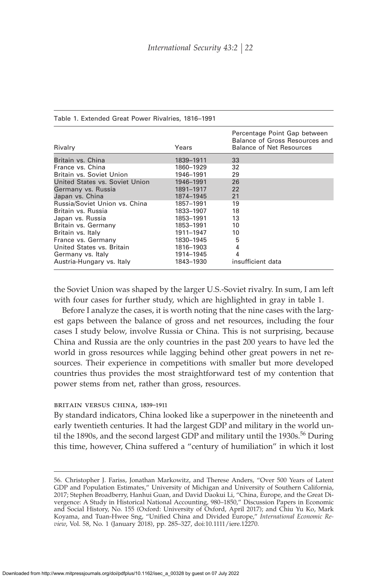| Rivalry                        | Years     | Percentage Point Gap between<br>Balance of Gross Resources and<br><b>Balance of Net Resources</b> |
|--------------------------------|-----------|---------------------------------------------------------------------------------------------------|
| Britain vs. China              | 1839-1911 | 33                                                                                                |
| France vs. China               | 1860-1929 | 32                                                                                                |
| Britain vs. Soviet Union       | 1946-1991 | 29                                                                                                |
| United States vs. Soviet Union | 1946-1991 | 26                                                                                                |
| Germany vs. Russia             | 1891-1917 | 22                                                                                                |
| Japan vs. China                | 1874-1945 | 21                                                                                                |
| Russia/Soviet Union vs. China  | 1857-1991 | 19                                                                                                |
| Britain vs. Russia             | 1833-1907 | 18                                                                                                |
| Japan vs. Russia               | 1853-1991 | 13                                                                                                |
| Britain vs. Germany            | 1853-1991 | 10                                                                                                |
| Britain vs. Italy              | 1911-1947 | 10                                                                                                |
| France vs. Germany             | 1830-1945 | 5                                                                                                 |
| United States vs. Britain      | 1816-1903 | 4                                                                                                 |
| Germany vs. Italy              | 1914-1945 | 4                                                                                                 |
| Austria-Hungary vs. Italy      | 1843-1930 | insufficient data                                                                                 |

#### Table 1. Extended Great Power Rivalries, 1816–1991

the Soviet Union was shaped by the larger U.S.-Soviet rivalry. In sum, I am left with four cases for further study, which are highlighted in gray in table 1.

Before I analyze the cases, it is worth noting that the nine cases with the largest gaps between the balance of gross and net resources, including the four cases I study below, involve Russia or China. This is not surprising, because China and Russia are the only countries in the past 200 years to have led the world in gross resources while lagging behind other great powers in net resources. Their experience in competitions with smaller but more developed countries thus provides the most straightforward test of my contention that power stems from net, rather than gross, resources.

#### britain versus china, 1839–1911

By standard indicators, China looked like a superpower in the nineteenth and early twentieth centuries. It had the largest GDP and military in the world until the 1890s, and the second largest GDP and military until the 1930s.<sup>56</sup> During this time, however, China suffered a "century of humiliation" in which it lost

<sup>56.</sup> Christopher J. Fariss, Jonathan Markowitz, and Therese Anders, "Over 500 Years of Latent GDP and Population Estimates," University of Michigan and University of Southern California, 2017; Stephen Broadberry, Hanhui Guan, and David Daokui Li, "China, Europe, and the Great Divergence: A Study in Historical National Accounting, 980–1850," Discussion Papers in Economic and Social History, No. 155 (Oxford: University of Oxford, April 2017); and Chiu Yu Ko, Mark Koyama, and Tuan-Hwee Sng, "Unified China and Divided Europe," International Economic Re*view*, Vol. 58, No. 1 (January 2018), pp. 285–327, doi:10.1111/iere.12270.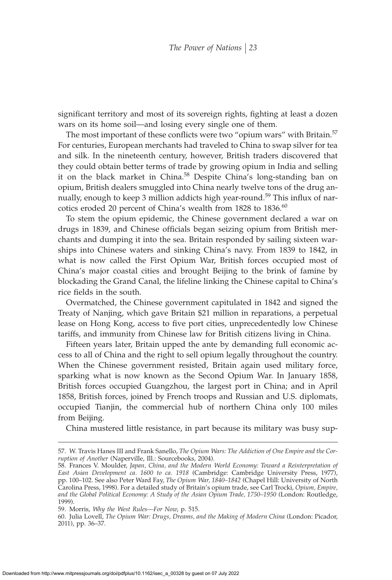significant territory and most of its sovereign rights, fighting at least a dozen wars on its home soil—and losing every single one of them.

The most important of these conflicts were two "opium wars" with Britain.<sup>57</sup> For centuries, European merchants had traveled to China to swap silver for tea and silk. In the nineteenth century, however, British traders discovered that they could obtain better terms of trade by growing opium in India and selling it on the black market in China.<sup>58</sup> Despite China's long-standing ban on opium, British dealers smuggled into China nearly twelve tons of the drug annually, enough to keep 3 million addicts high year-round.<sup>59</sup> This influx of narcotics eroded 20 percent of China's wealth from 1828 to 1836.<sup>60</sup>

To stem the opium epidemic, the Chinese government declared a war on drugs in 1839, and Chinese officials began seizing opium from British merchants and dumping it into the sea. Britain responded by sailing sixteen warships into Chinese waters and sinking China's navy. From 1839 to 1842, in what is now called the First Opium War, British forces occupied most of China's major coastal cities and brought Beijing to the brink of famine by blockading the Grand Canal, the lifeline linking the Chinese capital to China's rice fields in the south.

Overmatched, the Chinese government capitulated in 1842 and signed the Treaty of Nanjing, which gave Britain \$21 million in reparations, a perpetual lease on Hong Kong, access to five port cities, unprecedentedly low Chinese tariffs, and immunity from Chinese law for British citizens living in China.

Fifteen years later, Britain upped the ante by demanding full economic access to all of China and the right to sell opium legally throughout the country. When the Chinese government resisted, Britain again used military force, sparking what is now known as the Second Opium War. In January 1858, British forces occupied Guangzhou, the largest port in China; and in April 1858, British forces, joined by French troops and Russian and U.S. diplomats, occupied Tianjin, the commercial hub of northern China only 100 miles from Beijing.

China mustered little resistance, in part because its military was busy sup-

<sup>57.</sup> W. Travis Hanes III and Frank Sanello, *The Opium Wars: The Addiction of One Empire and the Corruption of Another* (Naperville, Ill.: Sourcebooks, 2004).

<sup>58.</sup> Frances V. Moulder, *Japan, China, and the Modern World Economy: Toward a Reinterpretation of East Asian Development ca. 1600 to ca. 1918* (Cambridge: Cambridge University Press, 1977), pp. 100–102. See also Peter Ward Fay, *The Opium War, 1840–1842* (Chapel Hill: University of North Carolina Press, 1998). For a detailed study of Britain's opium trade, see Carl Trocki, *Opium, Empire, and the Global Political Economy: A Study of the Asian Opium Trade, 1750–1950* (London: Routledge, 1999).

<sup>59.</sup> Morris, *Why the West Rules—For Now*, p. 515.

<sup>60.</sup> Julia Lovell, *The Opium War: Drugs, Dreams, and the Making of Modern China* (London: Picador, 2011), pp. 36–37.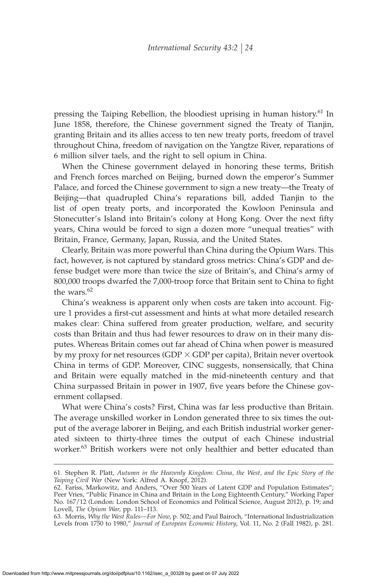pressing the Taiping Rebellion, the bloodiest uprising in human history.<sup>61</sup> In June 1858, therefore, the Chinese government signed the Treaty of Tianjin, granting Britain and its allies access to ten new treaty ports, freedom of travel throughout China, freedom of navigation on the Yangtze River, reparations of 6 million silver taels, and the right to sell opium in China.

When the Chinese government delayed in honoring these terms, British and French forces marched on Beijing, burned down the emperor's Summer Palace, and forced the Chinese government to sign a new treaty—the Treaty of Beijing—that quadrupled China's reparations bill, added Tianjin to the list of open treaty ports, and incorporated the Kowloon Peninsula and Stonecutter's Island into Britain's colony at Hong Kong. Over the next fifty years, China would be forced to sign a dozen more "unequal treaties" with Britain, France, Germany, Japan, Russia, and the United States.

Clearly, Britain was more powerful than China during the Opium Wars. This fact, however, is not captured by standard gross metrics: China's GDP and defense budget were more than twice the size of Britain's, and China's army of 800,000 troops dwarfed the 7,000-troop force that Britain sent to China to fight the wars.<sup>62</sup>

China's weakness is apparent only when costs are taken into account. Figure 1 provides a first-cut assessment and hints at what more detailed research makes clear: China suffered from greater production, welfare, and security costs than Britain and thus had fewer resources to draw on in their many disputes. Whereas Britain comes out far ahead of China when power is measured by my proxy for net resources (GDP  $\times$  GDP per capita), Britain never overtook China in terms of GDP. Moreover, CINC suggests, nonsensically, that China and Britain were equally matched in the mid-nineteenth century and that China surpassed Britain in power in 1907, five years before the Chinese government collapsed.

What were China's costs? First, China was far less productive than Britain. The average unskilled worker in London generated three to six times the output of the average laborer in Beijing, and each British industrial worker generated sixteen to thirty-three times the output of each Chinese industrial worker.<sup>63</sup> British workers were not only healthier and better educated than

<sup>61.</sup> Stephen R. Platt, *Autumn in the Heavenly Kingdom: China, the West, and the Epic Story of the Taiping Civil War* (New York: Alfred A. Knopf, 2012).

<sup>62.</sup> Fariss, Markowitz, and Anders, "Over 500 Years of Latent GDP and Population Estimates"; Peer Vries, "Public Finance in China and Britain in the Long Eighteenth Century," Working Paper No. 167/12 (London: London School of Economics and Political Science, August 2012), p. 19; and Lovell, *The Opium War*, pp. 111–113.

<sup>63.</sup> Morris, *Why the West Rules—For Now*, p. 502; and Paul Bairoch, "International Industrialization Levels from 1750 to 1980," *Journal of European Economic History*, Vol. 11, No. 2 (Fall 1982), p. 281.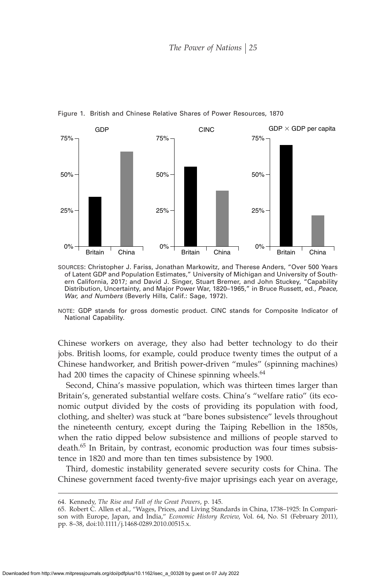

Figure 1. British and Chinese Relative Shares of Power Resources, 1870

SOURCES: Christopher J. Fariss, Jonathan Markowitz, and Therese Anders, "Over 500 Years of Latent GDP and Population Estimates," University of Michigan and University of Southern California, 2017; and David J. Singer, Stuart Bremer, and John Stuckey, "Capability Distribution, Uncertainty, and Major Power War, 1820–1965," in Bruce Russett, ed., *Peace, War, and Numbers* (Beverly Hills, Calif.: Sage, 1972).

NOTE: GDP stands for gross domestic product. CINC stands for Composite Indicator of National Capability.

Chinese workers on average, they also had better technology to do their jobs. British looms, for example, could produce twenty times the output of a Chinese handworker, and British power-driven "mules" (spinning machines) had 200 times the capacity of Chinese spinning wheels.<sup>64</sup>

Second, China's massive population, which was thirteen times larger than Britain's, generated substantial welfare costs. China's "welfare ratio" (its economic output divided by the costs of providing its population with food, clothing, and shelter) was stuck at "bare bones subsistence" levels throughout the nineteenth century, except during the Taiping Rebellion in the 1850s, when the ratio dipped below subsistence and millions of people starved to death.<sup>65</sup> In Britain, by contrast, economic production was four times subsistence in 1820 and more than ten times subsistence by 1900.

Third, domestic instability generated severe security costs for China. The Chinese government faced twenty-five major uprisings each year on average,

<sup>64.</sup> Kennedy, *The Rise and Fall of the Great Powers*, p. 145.

<sup>65.</sup> Robert C. Allen et al., "Wages, Prices, and Living Standards in China, 1738–1925: In Comparison with Europe, Japan, and India," *Economic History Review*, Vol. 64, No. S1 (February 2011), pp. 8–38, doi:10.1111/j.1468-0289.2010.00515.x.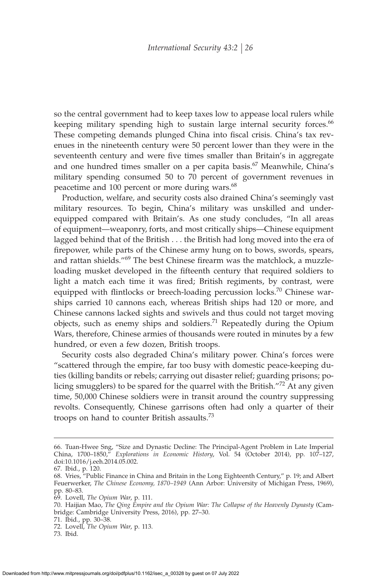so the central government had to keep taxes low to appease local rulers while keeping military spending high to sustain large internal security forces. $66$ These competing demands plunged China into fiscal crisis. China's tax revenues in the nineteenth century were 50 percent lower than they were in the seventeenth century and were five times smaller than Britain's in aggregate and one hundred times smaller on a per capita basis.<sup>67</sup> Meanwhile, China's military spending consumed 50 to 70 percent of government revenues in peacetime and 100 percent or more during wars.<sup>68</sup>

Production, welfare, and security costs also drained China's seemingly vast military resources. To begin, China's military was unskilled and underequipped compared with Britain's. As one study concludes, "In all areas of equipment—weaponry, forts, and most critically ships—Chinese equipment lagged behind that of the British . . . the British had long moved into the era of firepower, while parts of the Chinese army hung on to bows, swords, spears, and rattan shields." $69$  The best Chinese firearm was the matchlock, a muzzleloading musket developed in the fifteenth century that required soldiers to light a match each time it was fired; British regiments, by contrast, were equipped with flintlocks or breech-loading percussion locks.<sup>70</sup> Chinese warships carried 10 cannons each, whereas British ships had 120 or more, and Chinese cannons lacked sights and swivels and thus could not target moving objects, such as enemy ships and soldiers.<sup>71</sup> Repeatedly during the Opium Wars, therefore, Chinese armies of thousands were routed in minutes by a few hundred, or even a few dozen, British troops.

Security costs also degraded China's military power. China's forces were "scattered through the empire, far too busy with domestic peace-keeping duties (killing bandits or rebels; carrying out disaster relief; guarding prisons; policing smugglers) to be spared for the quarrel with the British."<sup>72</sup> At any given time, 50,000 Chinese soldiers were in transit around the country suppressing revolts. Consequently, Chinese garrisons often had only a quarter of their troops on hand to counter British assaults.<sup>73</sup>

72. Lovell, *The Opium War*, p. 113.

<sup>66.</sup> Tuan-Hwee Sng, "Size and Dynastic Decline: The Principal-Agent Problem in Late Imperial China, 1700–1850," *Explorations in Economic History*, Vol. 54 (October 2014), pp. 107–127, doi:10.1016/j.eeh.2014.05.002.

<sup>67.</sup> Ibid., p. 120.

<sup>68.</sup> Vries, "Public Finance in China and Britain in the Long Eighteenth Century," p. 19; and Albert Feuerwerker, *The Chinese Economy, 1870–1949* (Ann Arbor: University of Michigan Press, 1969), pp. 80–83.

<sup>69.</sup> Lovell, *The Opium War*, p. 111.

<sup>70.</sup> Haijian Mao, *The Qing Empire and the Opium War: The Collapse of the Heavenly Dynasty* (Cambridge: Cambridge University Press, 2016), pp. 27–30.

<sup>71.</sup> Ibid., pp. 30–38.

<sup>73.</sup> Ibid.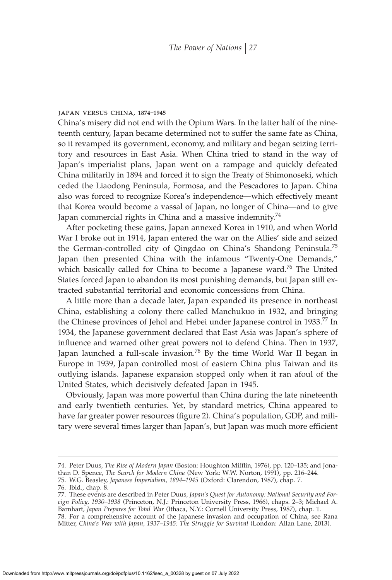## japan versus china, 1874–1945

China's misery did not end with the Opium Wars. In the latter half of the nineteenth century, Japan became determined not to suffer the same fate as China, so it revamped its government, economy, and military and began seizing territory and resources in East Asia. When China tried to stand in the way of Japan's imperialist plans, Japan went on a rampage and quickly defeated China militarily in 1894 and forced it to sign the Treaty of Shimonoseki, which ceded the Liaodong Peninsula, Formosa, and the Pescadores to Japan. China also was forced to recognize Korea's independence—which effectively meant that Korea would become a vassal of Japan, no longer of China—and to give Japan commercial rights in China and a massive indemnity. $74$ 

After pocketing these gains, Japan annexed Korea in 1910, and when World War I broke out in 1914, Japan entered the war on the Allies' side and seized the German-controlled city of Qingdao on China's Shandong Peninsula.<sup>75</sup> Japan then presented China with the infamous "Twenty-One Demands," which basically called for China to become a Japanese ward.<sup>76</sup> The United States forced Japan to abandon its most punishing demands, but Japan still extracted substantial territorial and economic concessions from China.

A little more than a decade later, Japan expanded its presence in northeast China, establishing a colony there called Manchukuo in 1932, and bringing the Chinese provinces of Jehol and Hebei under Japanese control in 1933.<sup>77</sup> In 1934, the Japanese government declared that East Asia was Japan's sphere of influence and warned other great powers not to defend China. Then in 1937, Japan launched a full-scale invasion.<sup>78</sup> By the time World War II began in Europe in 1939, Japan controlled most of eastern China plus Taiwan and its outlying islands. Japanese expansion stopped only when it ran afoul of the United States, which decisively defeated Japan in 1945.

Obviously, Japan was more powerful than China during the late nineteenth and early twentieth centuries. Yet, by standard metrics, China appeared to have far greater power resources (figure 2). China's population, GDP, and military were several times larger than Japan's, but Japan was much more efficient

<sup>74.</sup> Peter Duus, *The Rise of Modern Japan* (Boston: Houghton Mifflin, 1976), pp. 120–135; and Jonathan D. Spence, *The Search for Modern China* (New York: W.W. Norton, 1991), pp. 216–244. 75. W.G. Beasley, *Japanese Imperialism, 1894–1945* (Oxford: Clarendon, 1987), chap. 7.

<sup>76.</sup> Ibid., chap. 8.

<sup>77.</sup> These events are described in Peter Duus, *Japan's Quest for Autonomy: National Security and Foreign Policy, 1930–1938* (Princeton, N.J.: Princeton University Press, 1966), chaps. 2–3; Michael A. Barnhart, *Japan Prepares for Total War* (Ithaca, N.Y.: Cornell University Press, 1987), chap. 1. 78. For a comprehensive account of the Japanese invasion and occupation of China, see Rana Mitter, *China's War with Japan, 1937–1945: The Struggle for Survival* (London: Allan Lane, 2013).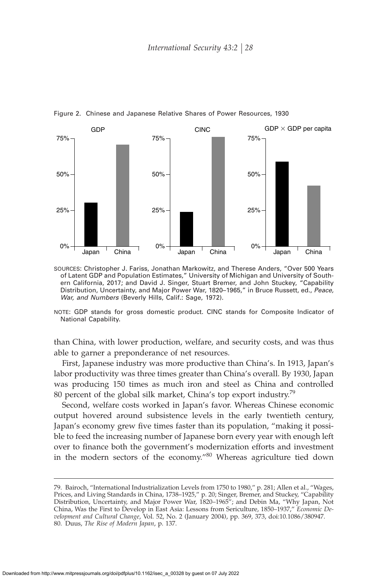

Figure 2. Chinese and Japanese Relative Shares of Power Resources, 1930

SOURCES: Christopher J. Fariss, Jonathan Markowitz, and Therese Anders, "Over 500 Years of Latent GDP and Population Estimates," University of Michigan and University of Southern California, 2017; and David J. Singer, Stuart Bremer, and John Stuckey, "Capability Distribution, Uncertainty, and Major Power War, 1820–1965," in Bruce Russett, ed., *Peace, War, and Numbers* (Beverly Hills, Calif.: Sage, 1972).

NOTE: GDP stands for gross domestic product. CINC stands for Composite Indicator of National Capability.

than China, with lower production, welfare, and security costs, and was thus able to garner a preponderance of net resources.

First, Japanese industry was more productive than China's. In 1913, Japan's labor productivity was three times greater than China's overall. By 1930, Japan was producing 150 times as much iron and steel as China and controlled 80 percent of the global silk market, China's top export industry.<sup>79</sup>

Second, welfare costs worked in Japan's favor. Whereas Chinese economic output hovered around subsistence levels in the early twentieth century, Japan's economy grew five times faster than its population, "making it possible to feed the increasing number of Japanese born every year with enough left over to finance both the government's modernization efforts and investment in the modern sectors of the economy."<sup>80</sup> Whereas agriculture tied down

<sup>79.</sup> Bairoch, "International Industrialization Levels from 1750 to 1980," p. 281; Allen et al., "Wages, Prices, and Living Standards in China, 1738–1925," p. 20; Singer, Bremer, and Stuckey, "Capability Distribution, Uncertainty, and Major Power War, 1820–1965"; and Debin Ma, "Why Japan, Not China, Was the First to Develop in East Asia: Lessons from Sericulture, 1850–1937," *Economic Development and Cultural Change*, Vol. 52, No. 2 (January 2004), pp. 369, 373, doi:10.1086/380947. 80. Duus, *The Rise of Modern Japan*, p. 137.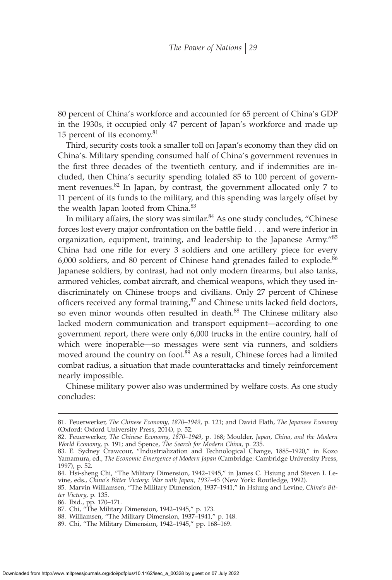80 percent of China's workforce and accounted for 65 percent of China's GDP in the 1930s, it occupied only 47 percent of Japan's workforce and made up 15 percent of its economy.<sup>81</sup>

Third, security costs took a smaller toll on Japan's economy than they did on China's. Military spending consumed half of China's government revenues in the first three decades of the twentieth century, and if indemnities are included, then China's security spending totaled 85 to 100 percent of government revenues. $82$  In Japan, by contrast, the government allocated only 7 to 11 percent of its funds to the military, and this spending was largely offset by the wealth Japan looted from China.<sup>83</sup>

In military affairs, the story was similar.<sup>84</sup> As one study concludes, "Chinese forces lost every major confrontation on the battle field . . . and were inferior in organization, equipment, training, and leadership to the Japanese Army."<sup>85</sup> China had one rifle for every 3 soldiers and one artillery piece for every  $6,000$  soldiers, and 80 percent of Chinese hand grenades failed to explode.<sup>86</sup> Japanese soldiers, by contrast, had not only modern firearms, but also tanks, armored vehicles, combat aircraft, and chemical weapons, which they used indiscriminately on Chinese troops and civilians. Only 27 percent of Chinese officers received any formal training, $87$  and Chinese units lacked field doctors, so even minor wounds often resulted in death.<sup>88</sup> The Chinese military also lacked modern communication and transport equipment—according to one government report, there were only 6,000 trucks in the entire country, half of which were inoperable—so messages were sent via runners, and soldiers moved around the country on foot.<sup>89</sup> As a result, Chinese forces had a limited combat radius, a situation that made counterattacks and timely reinforcement nearly impossible.

Chinese military power also was undermined by welfare costs. As one study concludes:

<sup>81.</sup> Feuerwerker, *The Chinese Economy, 1870–1949*, p. 121; and David Flath, *The Japanese Economy* (Oxford: Oxford University Press, 2014), p. 52.

<sup>82.</sup> Feuerwerker, *The Chinese Economy, 1870–1949*, p. 168; Moulder, *Japan, China, and the Modern World Economy*, p. 191; and Spence, *The Search for Modern China*, p. 235.

<sup>83.</sup> E. Sydney Crawcour, "Industrialization and Technological Change, 1885–1920," in Kozo Yamamura, ed., *The Economic Emergence of Modern Japan* (Cambridge: Cambridge University Press, 1997), p. 52.

<sup>84.</sup> Hsi-sheng Chi, "The Military Dimension, 1942–1945," in James C. Hsiung and Steven I. Levine, eds., *China's Bitter Victory: War with Japan, 1937–45* (New York: Routledge, 1992).

<sup>85.</sup> Marvin Williamsen, "The Military Dimension, 1937–1941," in Hsiung and Levine, *China's Bitter Victory*, p. 135.

<sup>86.</sup> Ibid., pp. 170–171.

<sup>87.</sup> Chi, "The Military Dimension, 1942–1945," p. 173.

<sup>88.</sup> Williamsen, "The Military Dimension, 1937–1941," p. 148.

<sup>89.</sup> Chi, "The Military Dimension, 1942–1945," pp. 168–169.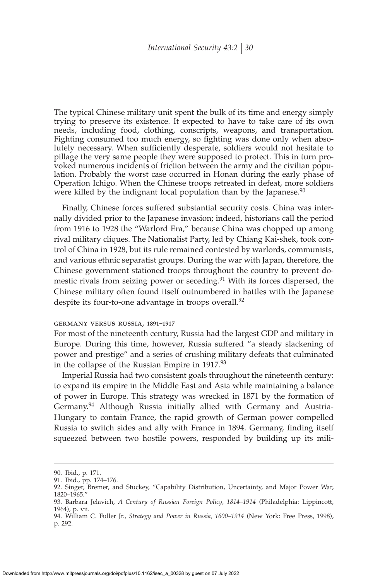The typical Chinese military unit spent the bulk of its time and energy simply trying to preserve its existence. It expected to have to take care of its own needs, including food, clothing, conscripts, weapons, and transportation. Fighting consumed too much energy, so fighting was done only when absolutely necessary. When sufficiently desperate, soldiers would not hesitate to pillage the very same people they were supposed to protect. This in turn provoked numerous incidents of friction between the army and the civilian population. Probably the worst case occurred in Honan during the early phase of Operation Ichigo. When the Chinese troops retreated in defeat, more soldiers were killed by the indignant local population than by the Japanese.<sup>90</sup>

Finally, Chinese forces suffered substantial security costs. China was internally divided prior to the Japanese invasion; indeed, historians call the period from 1916 to 1928 the "Warlord Era," because China was chopped up among rival military cliques. The Nationalist Party, led by Chiang Kai-shek, took control of China in 1928, but its rule remained contested by warlords, communists, and various ethnic separatist groups. During the war with Japan, therefore, the Chinese government stationed troops throughout the country to prevent domestic rivals from seizing power or seceding.<sup>91</sup> With its forces dispersed, the Chinese military often found itself outnumbered in battles with the Japanese despite its four-to-one advantage in troops overall.<sup>92</sup>

## germany versus russia, 1891–1917

For most of the nineteenth century, Russia had the largest GDP and military in Europe. During this time, however, Russia suffered "a steady slackening of power and prestige" and a series of crushing military defeats that culminated in the collapse of the Russian Empire in 1917.<sup>93</sup>

Imperial Russia had two consistent goals throughout the nineteenth century: to expand its empire in the Middle East and Asia while maintaining a balance of power in Europe. This strategy was wrecked in 1871 by the formation of Germany.<sup>94</sup> Although Russia initially allied with Germany and Austria-Hungary to contain France, the rapid growth of German power compelled Russia to switch sides and ally with France in 1894. Germany, finding itself squeezed between two hostile powers, responded by building up its mili-

<sup>90.</sup> Ibid., p. 171.

<sup>91.</sup> Ibid., pp. 174–176.

<sup>92.</sup> Singer, Bremer, and Stuckey, "Capability Distribution, Uncertainty, and Major Power War, 1820–1965."

<sup>93.</sup> Barbara Jelavich, *A Century of Russian Foreign Policy, 1814–1914* (Philadelphia: Lippincott, 1964), p. vii.

<sup>94.</sup> William C. Fuller Jr., *Strategy and Power in Russia, 1600–1914* (New York: Free Press, 1998), p. 292.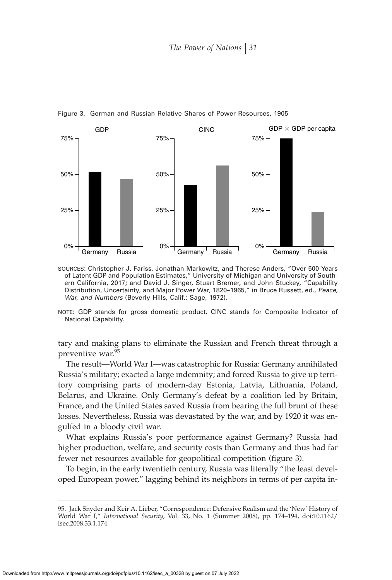

Figure 3. German and Russian Relative Shares of Power Resources, 1905

SOURCES: Christopher J. Fariss, Jonathan Markowitz, and Therese Anders, "Over 500 Years of Latent GDP and Population Estimates," University of Michigan and University of Southern California, 2017; and David J. Singer, Stuart Bremer, and John Stuckey, "Capability Distribution, Uncertainty, and Major Power War, 1820–1965," in Bruce Russett, ed., *Peace, War, and Numbers* (Beverly Hills, Calif.: Sage, 1972).

NOTE: GDP stands for gross domestic product. CINC stands for Composite Indicator of National Capability.

tary and making plans to eliminate the Russian and French threat through a preventive war.<sup>95</sup>

The result—World War I—was catastrophic for Russia: Germany annihilated Russia's military; exacted a large indemnity; and forced Russia to give up territory comprising parts of modern-day Estonia, Latvia, Lithuania, Poland, Belarus, and Ukraine. Only Germany's defeat by a coalition led by Britain, France, and the United States saved Russia from bearing the full brunt of these losses. Nevertheless, Russia was devastated by the war, and by 1920 it was engulfed in a bloody civil war.

What explains Russia's poor performance against Germany? Russia had higher production, welfare, and security costs than Germany and thus had far fewer net resources available for geopolitical competition (figure 3).

To begin, in the early twentieth century, Russia was literally "the least developed European power," lagging behind its neighbors in terms of per capita in-

<sup>95.</sup> Jack Snyder and Keir A. Lieber, "Correspondence: Defensive Realism and the 'New' History of World War I," *International Security*, Vol. 33, No. 1 (Summer 2008), pp. 174–194, doi:10.1162/ isec.2008.33.1.174.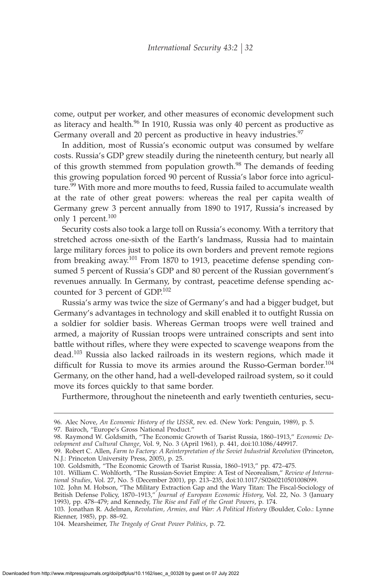come, output per worker, and other measures of economic development such as literacy and health. $96$  In 1910, Russia was only 40 percent as productive as Germany overall and 20 percent as productive in heavy industries.<sup>97</sup>

In addition, most of Russia's economic output was consumed by welfare costs. Russia's GDP grew steadily during the nineteenth century, but nearly all of this growth stemmed from population growth.<sup>98</sup> The demands of feeding this growing population forced 90 percent of Russia's labor force into agriculture.<sup>99</sup> With more and more mouths to feed, Russia failed to accumulate wealth at the rate of other great powers: whereas the real per capita wealth of Germany grew 3 percent annually from 1890 to 1917, Russia's increased by only 1 percent.<sup>100</sup>

Security costs also took a large toll on Russia's economy. With a territory that stretched across one-sixth of the Earth's landmass, Russia had to maintain large military forces just to police its own borders and prevent remote regions from breaking away.<sup>101</sup> From 1870 to 1913, peacetime defense spending consumed 5 percent of Russia's GDP and 80 percent of the Russian government's revenues annually. In Germany, by contrast, peacetime defense spending accounted for 3 percent of GDP.<sup>102</sup>

Russia's army was twice the size of Germany's and had a bigger budget, but Germany's advantages in technology and skill enabled it to outfight Russia on a soldier for soldier basis. Whereas German troops were well trained and armed, a majority of Russian troops were untrained conscripts and sent into battle without rifles, where they were expected to scavenge weapons from the dead.<sup>103</sup> Russia also lacked railroads in its western regions, which made it difficult for Russia to move its armies around the Russo-German border.<sup>104</sup> Germany, on the other hand, had a well-developed railroad system, so it could move its forces quickly to that same border.

Furthermore, throughout the nineteenth and early twentieth centuries, secu-

97. Bairoch, "Europe's Gross National Product."

98. Raymond W. Goldsmith, "The Economic Growth of Tsarist Russia, 1860–1913," *Economic Development and Cultural Change*, Vol. 9, No. 3 (April 1961), p. 441, doi:10.1086/449917.

100. Goldsmith, "The Economic Growth of Tsarist Russia, 1860–1913," pp. 472–475.

<sup>96.</sup> Alec Nove, *An Economic History of the USSR*, rev. ed. (New York: Penguin, 1989), p. 5.

<sup>99.</sup> Robert C. Allen, *Farm to Factory: A Reinterpretation of the Soviet Industrial Revolution* (Princeton, N.J.: Princeton University Press, 2005), p. 25.

<sup>101.</sup> William C. Wohlforth, "The Russian-Soviet Empire: A Test of Neorealism," *Review of International Studies*, Vol. 27, No. 5 (December 2001), pp. 213–235, doi:10.1017/S0260210501008099.

<sup>102.</sup> John M. Hobson, "The Military Extraction Gap and the Wary Titan: The Fiscal-Sociology of British Defense Policy, 1870–1913," *Journal of European Economic History*, Vol. 22, No. 3 (January 1993), pp. 478–479; and Kennedy, *The Rise and Fall of the Great Powers*, p. 174.

<sup>103.</sup> Jonathan R. Adelman, *Revolution, Armies, and War: A Political History* (Boulder, Colo.: Lynne Rienner, 1985), pp. 88–92.

<sup>104.</sup> Mearsheimer, *The Tragedy of Great Power Politics*, p. 72.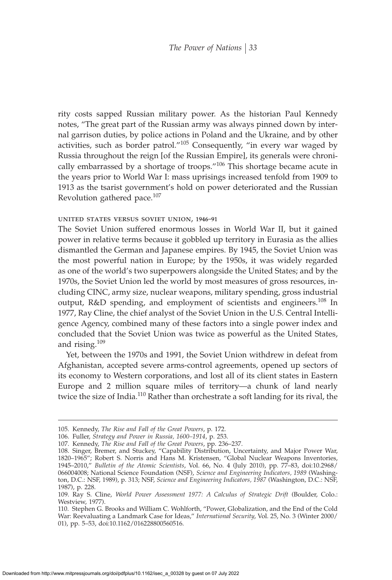rity costs sapped Russian military power. As the historian Paul Kennedy notes, "The great part of the Russian army was always pinned down by internal garrison duties, by police actions in Poland and the Ukraine, and by other activities, such as border patrol." $105$  Consequently, "in every war waged by Russia throughout the reign [of the Russian Empire], its generals were chronically embarrassed by a shortage of troops." $106$  This shortage became acute in the years prior to World War I: mass uprisings increased tenfold from 1909 to 1913 as the tsarist government's hold on power deteriorated and the Russian Revolution gathered pace.<sup>107</sup>

## united states versus soviet union, 1946–91

The Soviet Union suffered enormous losses in World War II, but it gained power in relative terms because it gobbled up territory in Eurasia as the allies dismantled the German and Japanese empires. By 1945, the Soviet Union was the most powerful nation in Europe; by the 1950s, it was widely regarded as one of the world's two superpowers alongside the United States; and by the 1970s, the Soviet Union led the world by most measures of gross resources, including CINC, army size, nuclear weapons, military spending, gross industrial output,  $R&D$  spending, and employment of scientists and engineers.<sup>108</sup> In 1977, Ray Cline, the chief analyst of the Soviet Union in the U.S. Central Intelligence Agency, combined many of these factors into a single power index and concluded that the Soviet Union was twice as powerful as the United States, and rising. $109$ 

Yet, between the 1970s and 1991, the Soviet Union withdrew in defeat from Afghanistan, accepted severe arms-control agreements, opened up sectors of its economy to Western corporations, and lost all of its client states in Eastern Europe and 2 million square miles of territory—a chunk of land nearly twice the size of India.<sup>110</sup> Rather than orchestrate a soft landing for its rival, the

<sup>105.</sup> Kennedy, *The Rise and Fall of the Great Powers*, p. 172.

<sup>106.</sup> Fuller, *Strategy and Power in Russia, 1600–1914*, p. 253.

<sup>107.</sup> Kennedy, *The Rise and Fall of the Great Powers*, pp. 236–237.

<sup>108.</sup> Singer, Bremer, and Stuckey, "Capability Distribution, Uncertainty, and Major Power War, 1820–1965"; Robert S. Norris and Hans M. Kristensen, "Global Nuclear Weapons Inventories, 1945–2010," *Bulletin of the Atomic Scientists*, Vol. 66, No. 4 (July 2010), pp. 77–83, doi:10.2968/ 066004008; National Science Foundation (NSF), *Science and Engineering Indicators, 1989* (Washington, D.C.: NSF, 1989), p. 313; NSF, *Science and Engineering Indicators, 1987* (Washington, D.C.: NSF, 1987), p. 228.

<sup>109.</sup> Ray S. Cline, *World Power Assessment 1977: A Calculus of Strategic Drift* (Boulder, Colo.: Westview, 1977).

<sup>110.</sup> Stephen G. Brooks and William C. Wohlforth, "Power, Globalization, and the End of the Cold War: Reevaluating a Landmark Case for Ideas," *International Security*, Vol. 25, No. 3 (Winter 2000/ 01), pp. 5–53, doi:10.1162/016228800560516.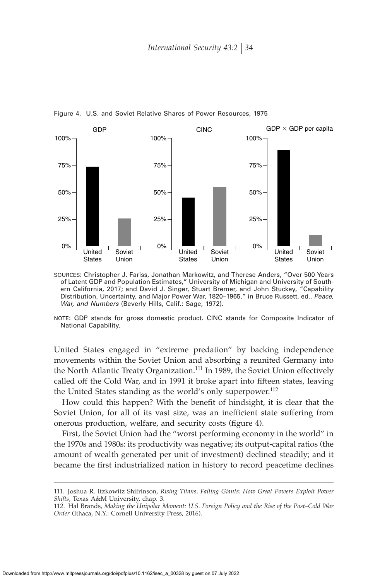

Figure 4. U.S. and Soviet Relative Shares of Power Resources, 1975

SOURCES: Christopher J. Fariss, Jonathan Markowitz, and Therese Anders, "Over 500 Years of Latent GDP and Population Estimates," University of Michigan and University of Southern California, 2017; and David J. Singer, Stuart Bremer, and John Stuckey, "Capability Distribution, Uncertainty, and Major Power War, 1820–1965," in Bruce Russett, ed., *Peace, War, and Numbers* (Beverly Hills, Calif.: Sage, 1972).

United States engaged in "extreme predation" by backing independence movements within the Soviet Union and absorbing a reunited Germany into the North Atlantic Treaty Organization.<sup>111</sup> In 1989, the Soviet Union effectively called off the Cold War, and in 1991 it broke apart into fifteen states, leaving the United States standing as the world's only superpower.<sup>112</sup>

How could this happen? With the benefit of hindsight, it is clear that the Soviet Union, for all of its vast size, was an inefficient state suffering from onerous production, welfare, and security costs (figure 4).

First, the Soviet Union had the "worst performing economy in the world" in the 1970s and 1980s: its productivity was negative; its output-capital ratios (the amount of wealth generated per unit of investment) declined steadily; and it became the first industrialized nation in history to record peacetime declines

NOTE: GDP stands for gross domestic product. CINC stands for Composite Indicator of National Capability.

<sup>111.</sup> Joshua R. Itzkowitz Shifrinson, *Rising Titans, Falling Giants: How Great Powers Exploit Power Shifts*, Texas A&M University, chap. 3.

<sup>112.</sup> Hal Brands, *Making the Unipolar Moment: U.S. Foreign Policy and the Rise of the Post–Cold War Order* (Ithaca, N.Y.: Cornell University Press, 2016).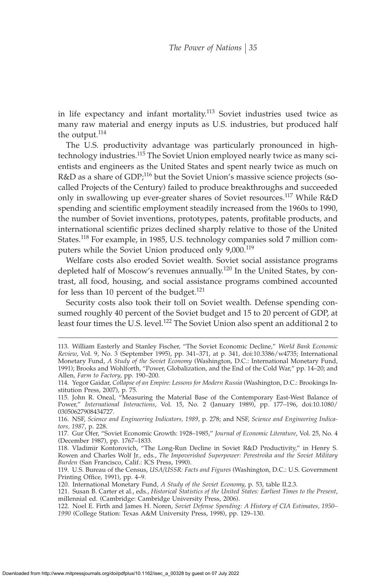in life expectancy and infant mortality.<sup>113</sup> Soviet industries used twice as many raw material and energy inputs as U.S. industries, but produced half the output.<sup>114</sup>

The U.S. productivity advantage was particularly pronounced in hightechnology industries.<sup>115</sup> The Soviet Union employed nearly twice as many scientists and engineers as the United States and spent nearly twice as much on  $R&D$  as a share of GDP,<sup>116</sup> but the Soviet Union's massive science projects (socalled Projects of the Century) failed to produce breakthroughs and succeeded only in swallowing up ever-greater shares of Soviet resources.<sup>117</sup> While R&D spending and scientific employment steadily increased from the 1960s to 1990, the number of Soviet inventions, prototypes, patents, profitable products, and international scientific prizes declined sharply relative to those of the United States.<sup>118</sup> For example, in 1985, U.S. technology companies sold 7 million computers while the Soviet Union produced only 9,000.<sup>119</sup>

Welfare costs also eroded Soviet wealth. Soviet social assistance programs depleted half of Moscow's revenues annually.<sup>120</sup> In the United States, by contrast, all food, housing, and social assistance programs combined accounted for less than 10 percent of the budget. $121$ 

Security costs also took their toll on Soviet wealth. Defense spending consumed roughly 40 percent of the Soviet budget and 15 to 20 percent of GDP, at least four times the U.S. level.<sup>122</sup> The Soviet Union also spent an additional 2 to

<sup>113.</sup> William Easterly and Stanley Fischer, "The Soviet Economic Decline," *World Bank Economic Review*, Vol. 9, No. 3 (September 1995), pp. 341–371, at p. 341, doi:10.3386/w4735; International Monetary Fund, *A Study of the Soviet Economy* (Washington, D.C.: International Monetary Fund, 1991); Brooks and Wohlforth, "Power, Globalization, and the End of the Cold War," pp. 14–20; and Allen, *Farm to Factory*, pp. 190–200.

<sup>114.</sup> Yegor Gaidar, *Collapse of an Empire: Lessons for Modern Russia* (Washington, D.C.: Brookings Institution Press, 2007), p. 75.

<sup>115.</sup> John R. Oneal, "Measuring the Material Base of the Contemporary East-West Balance of Power," *International Interactions*, Vol. 15, No. 2 (January 1989), pp. 177–196, doi:10.1080/ 03050627908434727.

<sup>116.</sup> NSF, *Science and Engineering Indicators, 1989*, p. 278; and NSF, *Science and Engineering Indicators, 1987*, p. 228.

<sup>117.</sup> Gur Ofer, "Soviet Economic Growth: 1928–1985," *Journal of Economic Literature*, Vol. 25, No. 4 (December 1987), pp. 1767–1833.

<sup>118.</sup> Vladimir Kontorovich, "The Long-Run Decline in Soviet R&D Productivity," in Henry S. Rowen and Charles Wolf Jr., eds., *The Impoverished Superpower: Perestroika and the Soviet Military Burden* (San Francisco, Calif.: ICS Press, 1990).

<sup>119.</sup> U.S. Bureau of the Census, *USA/USSR: Facts and Figures* (Washington, D.C.: U.S. Government Printing Office, 1991), pp. 4-9.

<sup>120.</sup> International Monetary Fund, *A Study of the Soviet Economy*, p. 53, table II.2.3.

<sup>121.</sup> Susan B. Carter et al., eds., *Historical Statistics of the United States: Earliest Times to the Present*, millennial ed. (Cambridge: Cambridge University Press, 2006).

<sup>122.</sup> Noel E. Firth and James H. Noren, *Soviet Defense Spending: A History of CIA Estimates, 1950– 1990* (College Station: Texas A&M University Press, 1998), pp. 129–130.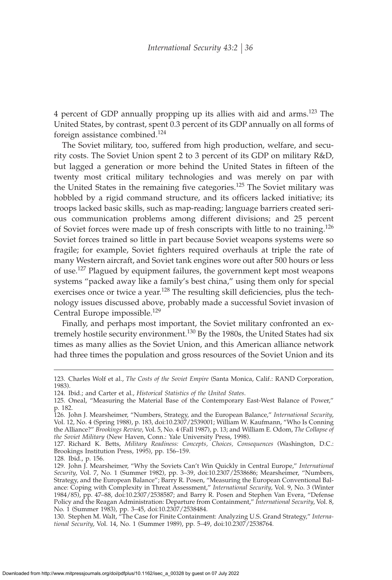4 percent of GDP annually propping up its allies with aid and arms.<sup>123</sup> The United States, by contrast, spent 0.3 percent of its GDP annually on all forms of foreign assistance combined.<sup>124</sup>

The Soviet military, too, suffered from high production, welfare, and security costs. The Soviet Union spent 2 to 3 percent of its GDP on military R&D, but lagged a generation or more behind the United States in fifteen of the twenty most critical military technologies and was merely on par with the United States in the remaining five categories.<sup>125</sup> The Soviet military was hobbled by a rigid command structure, and its officers lacked initiative; its troops lacked basic skills, such as map-reading; language barriers created serious communication problems among different divisions; and 25 percent of Soviet forces were made up of fresh conscripts with little to no training.<sup>126</sup> Soviet forces trained so little in part because Soviet weapons systems were so fragile; for example, Soviet fighters required overhauls at triple the rate of many Western aircraft, and Soviet tank engines wore out after 500 hours or less of use.<sup>127</sup> Plagued by equipment failures, the government kept most weapons systems "packed away like a family's best china," using them only for special exercises once or twice a year.<sup>128</sup> The resulting skill deficiencies, plus the technology issues discussed above, probably made a successful Soviet invasion of Central Europe impossible.<sup>129</sup>

Finally, and perhaps most important, the Soviet military confronted an extremely hostile security environment.<sup>130</sup> By the 1980s, the United States had six times as many allies as the Soviet Union, and this American alliance network had three times the population and gross resources of the Soviet Union and its

<sup>123.</sup> Charles Wolf et al., *The Costs of the Soviet Empire* (Santa Monica, Calif.: RAND Corporation, 1983).

<sup>124.</sup> Ibid.; and Carter et al., *Historical Statistics of the United States*.

<sup>125.</sup> Oneal, "Measuring the Material Base of the Contemporary East-West Balance of Power," p. 182.

<sup>126.</sup> John J. Mearsheimer, "Numbers, Strategy, and the European Balance," *International Security*, Vol. 12, No. 4 (Spring 1988), p. 183, doi:10.2307/2539001; William W. Kaufmann, "Who Is Conning the Alliance?" *Brookings Review*, Vol. 5, No. 4 (Fall 1987), p. 13; and William E. Odom, *The Collapse of the Soviet Military* (New Haven, Conn.: Yale University Press, 1998).

<sup>127.</sup> Richard K. Betts, *Military Readiness: Concepts, Choices, Consequences* (Washington, D.C.: Brookings Institution Press, 1995), pp. 156–159.

<sup>128.</sup> Ibid., p. 156.

<sup>129.</sup> John J. Mearsheimer, "Why the Soviets Can't Win Quickly in Central Europe," *International Security*, Vol. 7, No. 1 (Summer 1982), pp. 3–39, doi:10.2307/2538686; Mearsheimer, "Numbers, Strategy, and the European Balance"; Barry R. Posen, "Measuring the European Conventional Balance: Coping with Complexity in Threat Assessment," *International Security*, Vol. 9, No. 3 (Winter 1984/85), pp. 47–88, doi:10.2307/2538587; and Barry R. Posen and Stephen Van Evera, "Defense Policy and the Reagan Administration: Departure from Containment," *International Security*, Vol. 8, No. 1 (Summer 1983), pp. 3–45, doi:10.2307/2538484.

<sup>130.</sup> Stephen M. Walt, "The Case for Finite Containment: Analyzing U.S. Grand Strategy," *International Security*, Vol. 14, No. 1 (Summer 1989), pp. 5–49, doi:10.2307/2538764.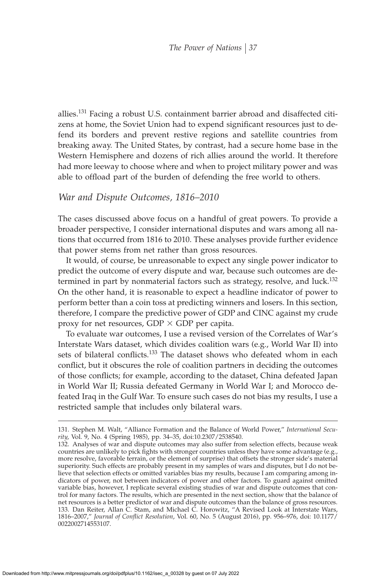allies.<sup>131</sup> Facing a robust U.S. containment barrier abroad and disaffected citizens at home, the Soviet Union had to expend significant resources just to defend its borders and prevent restive regions and satellite countries from breaking away. The United States, by contrast, had a secure home base in the Western Hemisphere and dozens of rich allies around the world. It therefore had more leeway to choose where and when to project military power and was able to offload part of the burden of defending the free world to others.

# *War and Dispute Outcomes, 1816–2010*

The cases discussed above focus on a handful of great powers. To provide a broader perspective, I consider international disputes and wars among all nations that occurred from 1816 to 2010. These analyses provide further evidence that power stems from net rather than gross resources.

It would, of course, be unreasonable to expect any single power indicator to predict the outcome of every dispute and war, because such outcomes are determined in part by nonmaterial factors such as strategy, resolve, and luck.<sup>132</sup> On the other hand, it is reasonable to expect a headline indicator of power to perform better than a coin toss at predicting winners and losers. In this section, therefore, I compare the predictive power of GDP and CINC against my crude proxy for net resources,  $GDP \times GDP$  per capita.

To evaluate war outcomes, I use a revised version of the Correlates of War's Interstate Wars dataset, which divides coalition wars (e.g., World War II) into sets of bilateral conflicts.<sup>133</sup> The dataset shows who defeated whom in each conflict, but it obscures the role of coalition partners in deciding the outcomes of those conflicts; for example, according to the dataset, China defeated Japan in World War II; Russia defeated Germany in World War I; and Morocco defeated Iraq in the Gulf War. To ensure such cases do not bias my results, I use a restricted sample that includes only bilateral wars.

<sup>131.</sup> Stephen M. Walt, "Alliance Formation and the Balance of World Power," *International Security*, Vol. 9, No. 4 (Spring 1985), pp. 34–35, doi:10.2307/2538540.

<sup>132.</sup> Analyses of war and dispute outcomes may also suffer from selection effects, because weak countries are unlikely to pick fights with stronger countries unless they have some advantage (e.g., more resolve, favorable terrain, or the element of surprise) that offsets the stronger side's material superiority. Such effects are probably present in my samples of wars and disputes, but I do not believe that selection effects or omitted variables bias my results, because I am comparing among indicators of power, not between indicators of power and other factors. To guard against omitted variable bias, however, I replicate several existing studies of war and dispute outcomes that control for many factors. The results, which are presented in the next section, show that the balance of net resources is a better predictor of war and dispute outcomes than the balance of gross resources. 133. Dan Reiter, Allan C. Stam, and Michael C. Horowitz, "A Revised Look at Interstate Wars, 1816–2007," *Journal of Conflict Resolution*, Vol. 60, No. 5 (August 2016), pp. 956–976, doi: 10.1177/ 0022002714553107.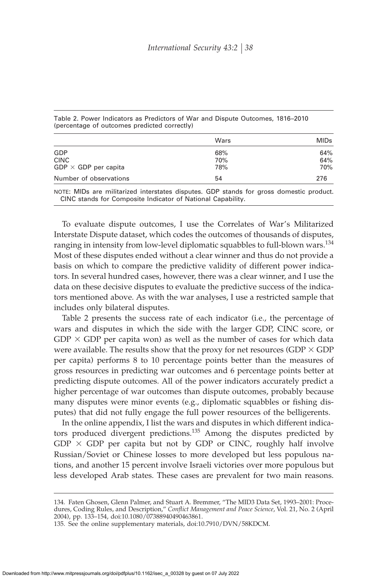|                             | Wars | <b>MIDs</b> |
|-----------------------------|------|-------------|
| GDP                         | 68%  | 64%         |
| <b>CINC</b>                 | 70%  | 64%         |
| GDP $\times$ GDP per capita | 78%  | 70%         |
| Number of observations      | 54   | 276         |

Table 2. Power Indicators as Predictors of War and Dispute Outcomes, 1816–2010 (percentage of outcomes predicted correctly)

NOTE: MIDs are militarized interstates disputes. GDP stands for gross domestic product. CINC stands for Composite Indicator of National Capability.

To evaluate dispute outcomes, I use the Correlates of War's Militarized Interstate Dispute dataset, which codes the outcomes of thousands of disputes, ranging in intensity from low-level diplomatic squabbles to full-blown wars.<sup>134</sup> Most of these disputes ended without a clear winner and thus do not provide a basis on which to compare the predictive validity of different power indicators. In several hundred cases, however, there was a clear winner, and I use the data on these decisive disputes to evaluate the predictive success of the indicators mentioned above. As with the war analyses, I use a restricted sample that includes only bilateral disputes.

Table 2 presents the success rate of each indicator (i.e., the percentage of wars and disputes in which the side with the larger GDP, CINC score, or  $GDP \times GDP$  per capita won) as well as the number of cases for which data were available. The results show that the proxy for net resources (GDP  $\times$  GDP per capita) performs 8 to 10 percentage points better than the measures of gross resources in predicting war outcomes and 6 percentage points better at predicting dispute outcomes. All of the power indicators accurately predict a higher percentage of war outcomes than dispute outcomes, probably because many disputes were minor events (e.g., diplomatic squabbles or fishing disputes) that did not fully engage the full power resources of the belligerents.

In the online appendix, I list the wars and disputes in which different indicators produced divergent predictions.<sup>135</sup> Among the disputes predicted by  $\mathsf{GDP}\times\mathsf{GDP}$  per capita but not by  $\mathsf{GDP}$  or  $\mathsf{CINC}$ , roughly half involve Russian/Soviet or Chinese losses to more developed but less populous nations, and another 15 percent involve Israeli victories over more populous but less developed Arab states. These cases are prevalent for two main reasons.

<sup>134.</sup> Faten Ghosen, Glenn Palmer, and Stuart A. Bremmer, "The MID3 Data Set, 1993–2001: Procedures, Coding Rules, and Description," *Conflict Management and Peace Science,* Vol. 21, No. 2 (April 2004), pp. 133–154, doi:10.1080/07388940490463861.

<sup>135.</sup> See the online supplementary materials, doi:10.7910/DVN/58KDCM.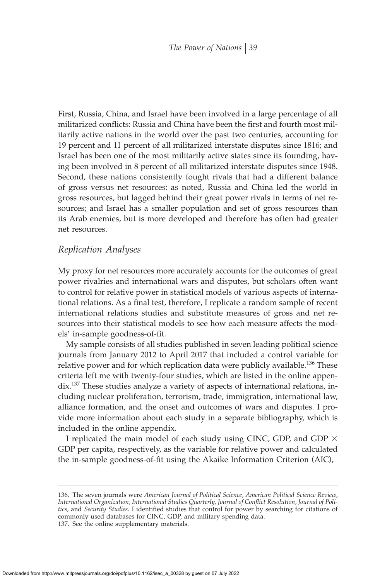First, Russia, China, and Israel have been involved in a large percentage of all militarized conflicts: Russia and China have been the first and fourth most militarily active nations in the world over the past two centuries, accounting for 19 percent and 11 percent of all militarized interstate disputes since 1816; and Israel has been one of the most militarily active states since its founding, having been involved in 8 percent of all militarized interstate disputes since 1948. Second, these nations consistently fought rivals that had a different balance of gross versus net resources: as noted, Russia and China led the world in gross resources, but lagged behind their great power rivals in terms of net resources; and Israel has a smaller population and set of gross resources than its Arab enemies, but is more developed and therefore has often had greater net resources.

# *Replication Analyses*

My proxy for net resources more accurately accounts for the outcomes of great power rivalries and international wars and disputes, but scholars often want to control for relative power in statistical models of various aspects of international relations. As a final test, therefore, I replicate a random sample of recent international relations studies and substitute measures of gross and net resources into their statistical models to see how each measure affects the models' in-sample goodness-of-fit.

My sample consists of all studies published in seven leading political science journals from January 2012 to April 2017 that included a control variable for relative power and for which replication data were publicly available.<sup>136</sup> These criteria left me with twenty-four studies, which are listed in the online appendix.137 These studies analyze a variety of aspects of international relations, including nuclear proliferation, terrorism, trade, immigration, international law, alliance formation, and the onset and outcomes of wars and disputes. I provide more information about each study in a separate bibliography, which is included in the online appendix.

I replicated the main model of each study using CINC, GDP, and GDP  $\times$ GDP per capita, respectively, as the variable for relative power and calculated the in-sample goodness-of-fit using the Akaike Information Criterion (AIC),

<sup>136.</sup> The seven journals were *American Journal of Political Science, American Political Science Review,* International Organization, International Studies Quarterly, Journal of Conflict Resolution, Journal of Poli*tics*, and *Security Studies*. I identified studies that control for power by searching for citations of commonly used databases for CINC, GDP, and military spending data. 137. See the online supplementary materials.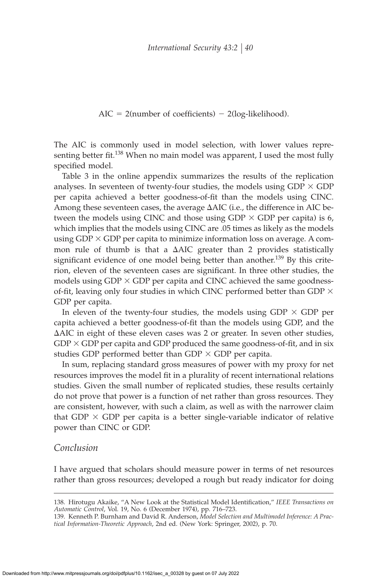$AIC = 2$ (number of coefficients) - 2(log-likelihood).

The AIC is commonly used in model selection, with lower values representing better fit.<sup>138</sup> When no main model was apparent, I used the most fully specified model.

Table 3 in the online appendix summarizes the results of the replication analyses. In seventeen of twenty-four studies, the models using GDP  $\times$  GDP per capita achieved a better goodness-of-fit than the models using CINC. Among these seventeen cases, the average  $\Delta AIC$  (i.e., the difference in AIC between the models using CINC and those using GDP  $\times$  GDP per capita) is 6, which implies that the models using CINC are .05 times as likely as the models using GDP  $\times$  GDP per capita to minimize information loss on average. A common rule of thumb is that a  $\Delta AIC$  greater than 2 provides statistically significant evidence of one model being better than another.<sup>139</sup> By this criterion, eleven of the seventeen cases are significant. In three other studies, the models using GDP  $\times$  GDP per capita and CINC achieved the same goodnessof-fit, leaving only four studies in which CINC performed better than GDP  $\times$ GDP per capita.

In eleven of the twenty-four studies, the models using GDP  $\times$  GDP per capita achieved a better goodness-of-fit than the models using GDP, and the AIC in eight of these eleven cases was 2 or greater. In seven other studies,  $\operatorname{GDP}\times\operatorname{GDP}$  per capita and  $\operatorname{GDP}$  produced the same goodness-of-fit, and in six studies GDP performed better than GDP  $\times$  GDP per capita.

In sum, replacing standard gross measures of power with my proxy for net resources improves the model fit in a plurality of recent international relations studies. Given the small number of replicated studies, these results certainly do not prove that power is a function of net rather than gross resources. They are consistent, however, with such a claim, as well as with the narrower claim that GDP  $\times$  GDP per capita is a better single-variable indicator of relative power than CINC or GDP.

## *Conclusion*

I have argued that scholars should measure power in terms of net resources rather than gross resources; developed a rough but ready indicator for doing

<sup>138.</sup> Hirotugu Akaike, "A New Look at the Statistical Model Identification," *IEEE Transactions on Automatic Control*, Vol. 19, No. 6 (December 1974), pp. 716–723.

<sup>139.</sup> Kenneth P. Burnham and David R. Anderson, *Model Selection and Multimodel Inference: A Practical Information-Theoretic Approach*, 2nd ed. (New York: Springer, 2002), p. 70.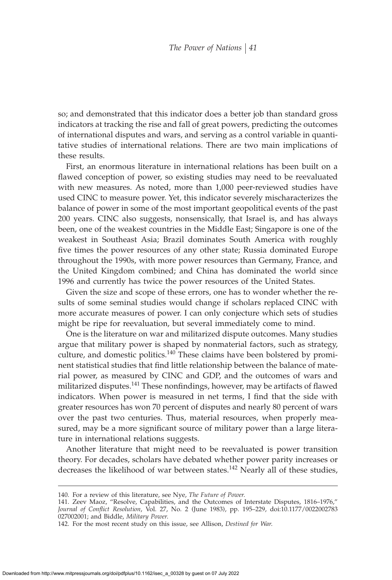so; and demonstrated that this indicator does a better job than standard gross indicators at tracking the rise and fall of great powers, predicting the outcomes of international disputes and wars, and serving as a control variable in quantitative studies of international relations. There are two main implications of these results.

First, an enormous literature in international relations has been built on a flawed conception of power, so existing studies may need to be reevaluated with new measures. As noted, more than 1,000 peer-reviewed studies have used CINC to measure power. Yet, this indicator severely mischaracterizes the balance of power in some of the most important geopolitical events of the past 200 years. CINC also suggests, nonsensically, that Israel is, and has always been, one of the weakest countries in the Middle East; Singapore is one of the weakest in Southeast Asia; Brazil dominates South America with roughly five times the power resources of any other state; Russia dominated Europe throughout the 1990s, with more power resources than Germany, France, and the United Kingdom combined; and China has dominated the world since 1996 and currently has twice the power resources of the United States.

Given the size and scope of these errors, one has to wonder whether the results of some seminal studies would change if scholars replaced CINC with more accurate measures of power. I can only conjecture which sets of studies might be ripe for reevaluation, but several immediately come to mind.

One is the literature on war and militarized dispute outcomes. Many studies argue that military power is shaped by nonmaterial factors, such as strategy, culture, and domestic politics.<sup>140</sup> These claims have been bolstered by prominent statistical studies that find little relationship between the balance of material power, as measured by CINC and GDP, and the outcomes of wars and militarized disputes.<sup>141</sup> These nonfindings, however, may be artifacts of flawed indicators. When power is measured in net terms, I find that the side with greater resources has won 70 percent of disputes and nearly 80 percent of wars over the past two centuries. Thus, material resources, when properly measured, may be a more significant source of military power than a large literature in international relations suggests.

Another literature that might need to be reevaluated is power transition theory. For decades, scholars have debated whether power parity increases or decreases the likelihood of war between states.<sup>142</sup> Nearly all of these studies,

<sup>140.</sup> For a review of this literature, see Nye, *The Future of Power*.

<sup>141.</sup> Zeev Maoz, "Resolve, Capabilities, and the Outcomes of Interstate Disputes, 1816–1976," *Journal of Conºict Resolution*, Vol. 27, No. 2 (June 1983), pp. 195–229, doi:10.1177/0022002783 027002001; and Biddle, *Military Power*.

<sup>142.</sup> For the most recent study on this issue, see Allison, *Destined for War*.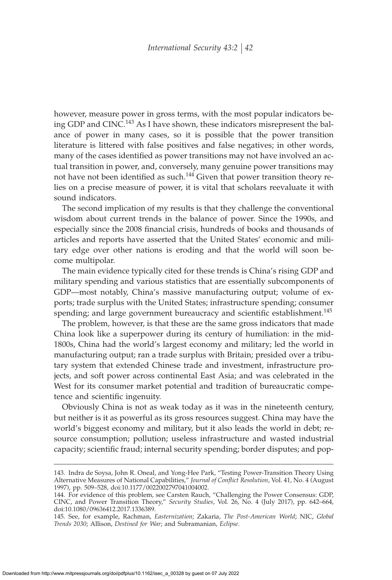however, measure power in gross terms, with the most popular indicators being GDP and CINC.<sup>143</sup> As I have shown, these indicators misrepresent the balance of power in many cases, so it is possible that the power transition literature is littered with false positives and false negatives; in other words, many of the cases identified as power transitions may not have involved an actual transition in power, and, conversely, many genuine power transitions may not have not been identified as such.<sup>144</sup> Given that power transition theory relies on a precise measure of power, it is vital that scholars reevaluate it with sound indicators.

The second implication of my results is that they challenge the conventional wisdom about current trends in the balance of power. Since the 1990s, and especially since the 2008 financial crisis, hundreds of books and thousands of articles and reports have asserted that the United States' economic and military edge over other nations is eroding and that the world will soon become multipolar.

The main evidence typically cited for these trends is China's rising GDP and military spending and various statistics that are essentially subcomponents of GDP—most notably, China's massive manufacturing output; volume of exports; trade surplus with the United States; infrastructure spending; consumer spending; and large government bureaucracy and scientific establishment.<sup>145</sup>

The problem, however, is that these are the same gross indicators that made China look like a superpower during its century of humiliation: in the mid-1800s, China had the world's largest economy and military; led the world in manufacturing output; ran a trade surplus with Britain; presided over a tributary system that extended Chinese trade and investment, infrastructure projects, and soft power across continental East Asia; and was celebrated in the West for its consumer market potential and tradition of bureaucratic competence and scientific ingenuity.

Obviously China is not as weak today as it was in the nineteenth century, but neither is it as powerful as its gross resources suggest. China may have the world's biggest economy and military, but it also leads the world in debt; resource consumption; pollution; useless infrastructure and wasted industrial capacity; scientific fraud; internal security spending; border disputes; and pop-

<sup>143.</sup> Indra de Soysa, John R. Oneal, and Yong-Hee Park, "Testing Power-Transition Theory Using Alternative Measures of National Capabilities," Journal of Conflict Resolution, Vol. 41, No. 4 (August 1997), pp. 509–528, doi:10.1177/0022002797041004002.

<sup>144.</sup> For evidence of this problem, see Carsten Rauch, "Challenging the Power Consensus: GDP, CINC, and Power Transition Theory," *Security Studies*, Vol. 26, No. 4 (July 2017), pp. 642–664, doi:10.1080/09636412.2017.1336389.

<sup>145.</sup> See, for example, Rachman, *Easternization*; Zakaria, *The Post-American World*; NIC, *Global Trends 2030*; Allison, *Destined for War*; and Subramanian, *Eclipse*.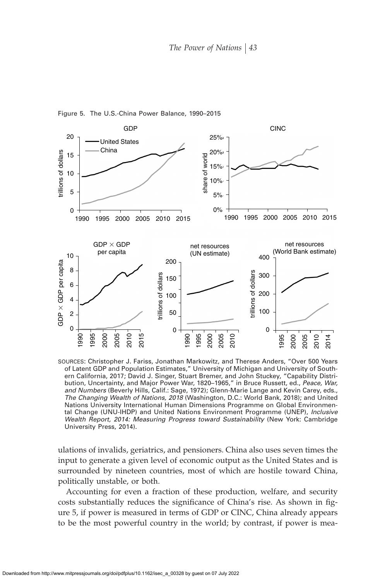

Figure 5. The U.S.-China Power Balance, 1990–2015

SOURCES: Christopher J. Fariss, Jonathan Markowitz, and Therese Anders, "Over 500 Years of Latent GDP and Population Estimates," University of Michigan and University of Southern California, 2017; David J. Singer, Stuart Bremer, and John Stuckey, "Capability Distribution, Uncertainty, and Major Power War, 1820–1965," in Bruce Russett, ed., *Peace, War, and Numbers* (Beverly Hills, Calif.: Sage, 1972); Glenn-Marie Lange and Kevin Carey, eds., *The Changing Wealth of Nations, 2018* (Washington, D.C.: World Bank, 2018); and United Nations University International Human Dimensions Programme on Global Environmental Change (UNU-IHDP) and United Nations Environment Programme (UNEP), *Inclusive Wealth Report, 2014: Measuring Progress toward Sustainability* (New York: Cambridge University Press, 2014).

ulations of invalids, geriatrics, and pensioners. China also uses seven times the input to generate a given level of economic output as the United States and is surrounded by nineteen countries, most of which are hostile toward China, politically unstable, or both.

Accounting for even a fraction of these production, welfare, and security costs substantially reduces the significance of China's rise. As shown in figure 5, if power is measured in terms of GDP or CINC, China already appears to be the most powerful country in the world; by contrast, if power is mea